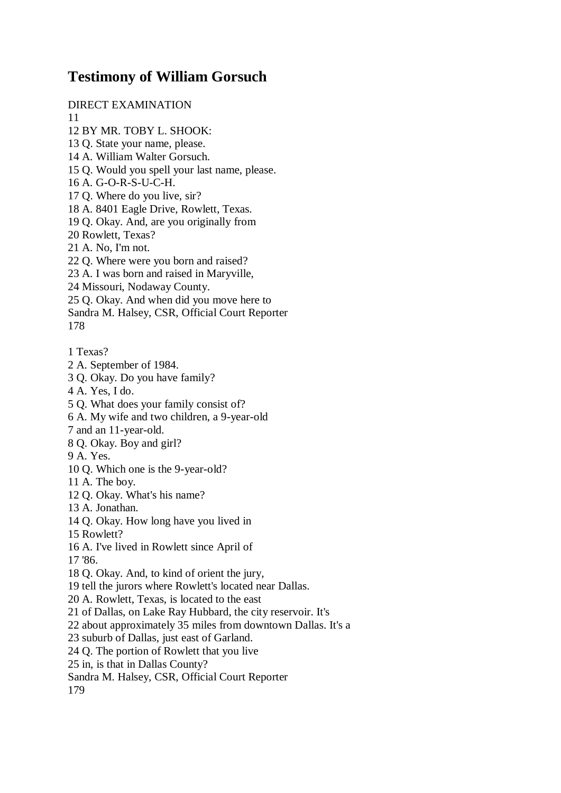## **Testimony of William Gorsuch**

DIRECT EXAMINATION

11

- 12 BY MR. TOBY L. SHOOK:
- 13 Q. State your name, please.
- 14 A. William Walter Gorsuch.
- 15 Q. Would you spell your last name, please.
- 16 A. G-O-R-S-U-C-H.
- 17 Q. Where do you live, sir?
- 18 A. 8401 Eagle Drive, Rowlett, Texas.
- 19 Q. Okay. And, are you originally from
- 20 Rowlett, Texas?
- 21 A. No, I'm not.
- 22 Q. Where were you born and raised?
- 23 A. I was born and raised in Maryville,
- 24 Missouri, Nodaway County.
- 25 Q. Okay. And when did you move here to
- Sandra M. Halsey, CSR, Official Court Reporter
- 178
- 1 Texas?
- 2 A. September of 1984.
- 3 Q. Okay. Do you have family?
- 4 A. Yes, I do.
- 5 Q. What does your family consist of?
- 6 A. My wife and two children, a 9-year-old
- 7 and an 11-year-old.
- 8 Q. Okay. Boy and girl?
- 9 A. Yes.
- 10 Q. Which one is the 9-year-old?
- 11 A. The boy.
- 12 Q. Okay. What's his name?
- 13 A. Jonathan.
- 14 Q. Okay. How long have you lived in
- 15 Rowlett?
- 16 A. I've lived in Rowlett since April of
- 17 '86.
- 18 Q. Okay. And, to kind of orient the jury,
- 19 tell the jurors where Rowlett's located near Dallas.
- 20 A. Rowlett, Texas, is located to the east
- 21 of Dallas, on Lake Ray Hubbard, the city reservoir. It's
- 22 about approximately 35 miles from downtown Dallas. It's a
- 23 suburb of Dallas, just east of Garland.
- 24 Q. The portion of Rowlett that you live
- 25 in, is that in Dallas County?
- Sandra M. Halsey, CSR, Official Court Reporter

179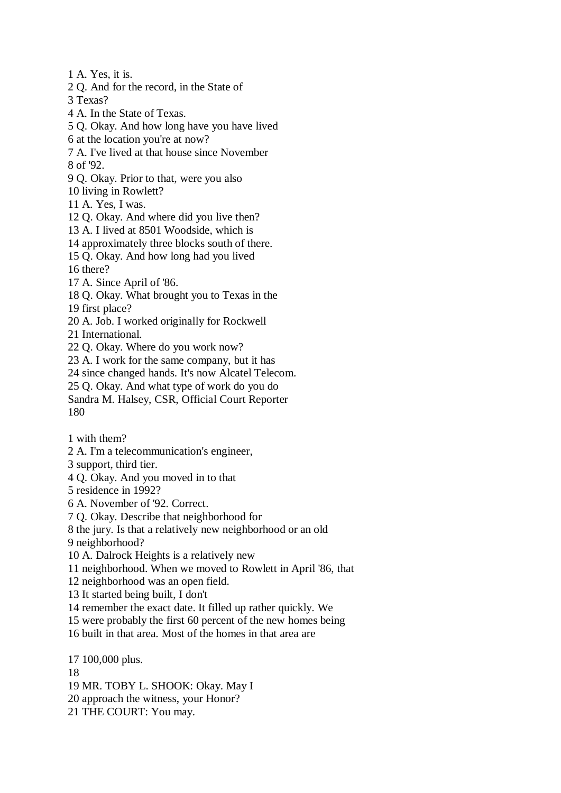1 A. Yes, it is.

2 Q. And for the record, in the State of

3 Texas?

4 A. In the State of Texas.

5 Q. Okay. And how long have you have lived

6 at the location you're at now?

7 A. I've lived at that house since November 8 of '92.

9 Q. Okay. Prior to that, were you also

10 living in Rowlett?

11 A. Yes, I was.

12 Q. Okay. And where did you live then?

13 A. I lived at 8501 Woodside, which is

14 approximately three blocks south of there.

15 Q. Okay. And how long had you lived

16 there?

17 A. Since April of '86.

18 Q. Okay. What brought you to Texas in the

19 first place?

20 A. Job. I worked originally for Rockwell

21 International.

22 Q. Okay. Where do you work now?

23 A. I work for the same company, but it has

24 since changed hands. It's now Alcatel Telecom.

25 Q. Okay. And what type of work do you do

Sandra M. Halsey, CSR, Official Court Reporter 180

1 with them?

2 A. I'm a telecommunication's engineer,

3 support, third tier.

4 Q. Okay. And you moved in to that

5 residence in 1992?

6 A. November of '92. Correct.

7 Q. Okay. Describe that neighborhood for

8 the jury. Is that a relatively new neighborhood or an old

9 neighborhood?

10 A. Dalrock Heights is a relatively new

11 neighborhood. When we moved to Rowlett in April '86, that

12 neighborhood was an open field.

13 It started being built, I don't

14 remember the exact date. It filled up rather quickly. We

15 were probably the first 60 percent of the new homes being

16 built in that area. Most of the homes in that area are

17 100,000 plus.

18

19 MR. TOBY L. SHOOK: Okay. May I

20 approach the witness, your Honor?

21 THE COURT: You may.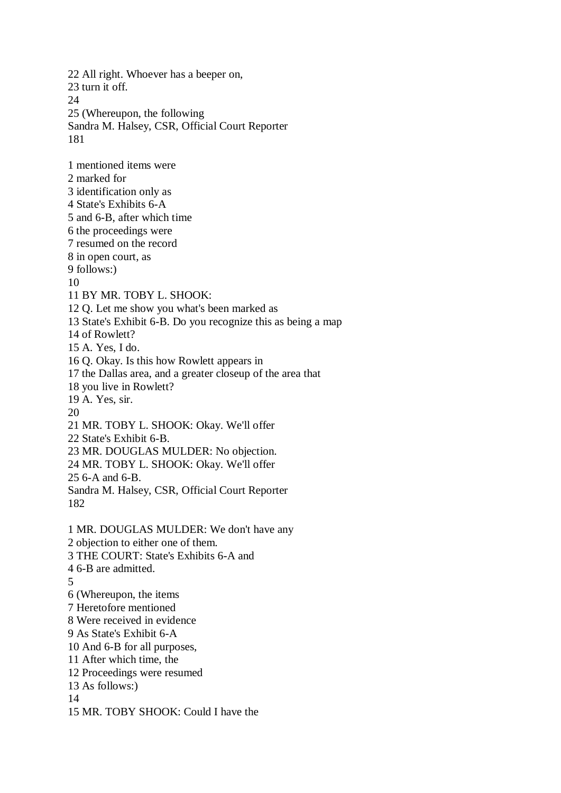22 All right. Whoever has a beeper on, 23 turn it off.  $24$ 25 (Whereupon, the following Sandra M. Halsey, CSR, Official Court Reporter 181 1 mentioned items were 2 marked for 3 identification only as 4 State's Exhibits 6-A 5 and 6-B, after which time 6 the proceedings were 7 resumed on the record 8 in open court, as 9 follows:) 10 11 BY MR. TOBY L. SHOOK: 12 Q. Let me show you what's been marked as 13 State's Exhibit 6-B. Do you recognize this as being a map 14 of Rowlett? 15 A. Yes, I do. 16 Q. Okay. Is this how Rowlett appears in 17 the Dallas area, and a greater closeup of the area that 18 you live in Rowlett? 19 A. Yes, sir. 20 21 MR. TOBY L. SHOOK: Okay. We'll offer 22 State's Exhibit 6-B. 23 MR. DOUGLAS MULDER: No objection. 24 MR. TOBY L. SHOOK: Okay. We'll offer 25 6-A and 6-B. Sandra M. Halsey, CSR, Official Court Reporter 182 1 MR. DOUGLAS MULDER: We don't have any 2 objection to either one of them. 3 THE COURT: State's Exhibits 6-A and 4 6-B are admitted. 5 6 (Whereupon, the items 7 Heretofore mentioned 8 Were received in evidence 9 As State's Exhibit 6-A 10 And 6-B for all purposes, 11 After which time, the 12 Proceedings were resumed 13 As follows:) 14 15 MR. TOBY SHOOK: Could I have the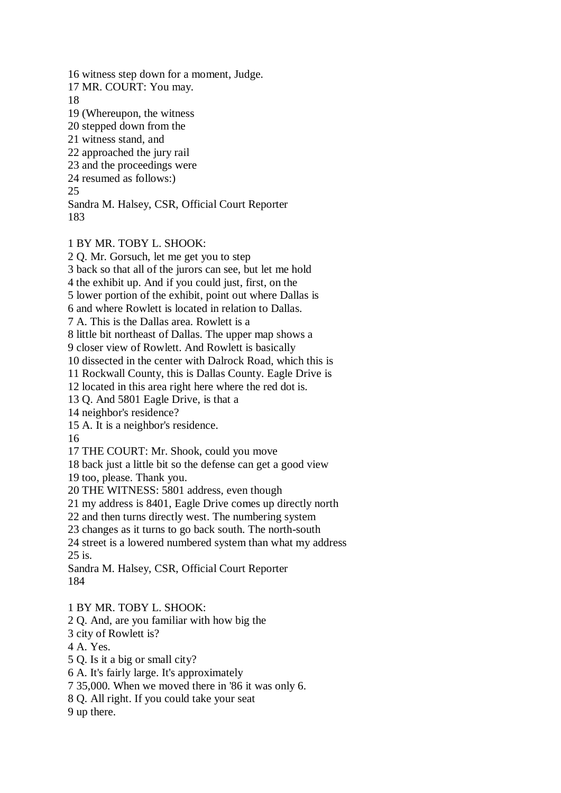16 witness step down for a moment, Judge. 17 MR. COURT: You may. 18 19 (Whereupon, the witness 20 stepped down from the 21 witness stand, and 22 approached the jury rail 23 and the proceedings were 24 resumed as follows:) 25 Sandra M. Halsey, CSR, Official Court Reporter 183

## 1 BY MR. TOBY L. SHOOK:

2 Q. Mr. Gorsuch, let me get you to step

3 back so that all of the jurors can see, but let me hold

4 the exhibit up. And if you could just, first, on the

5 lower portion of the exhibit, point out where Dallas is

6 and where Rowlett is located in relation to Dallas.

7 A. This is the Dallas area. Rowlett is a

8 little bit northeast of Dallas. The upper map shows a

9 closer view of Rowlett. And Rowlett is basically

10 dissected in the center with Dalrock Road, which this is

11 Rockwall County, this is Dallas County. Eagle Drive is

12 located in this area right here where the red dot is.

13 Q. And 5801 Eagle Drive, is that a

14 neighbor's residence?

15 A. It is a neighbor's residence.

16

17 THE COURT: Mr. Shook, could you move

18 back just a little bit so the defense can get a good view

19 too, please. Thank you.

20 THE WITNESS: 5801 address, even though

21 my address is 8401, Eagle Drive comes up directly north

22 and then turns directly west. The numbering system

23 changes as it turns to go back south. The north-south

24 street is a lowered numbered system than what my address 25 is.

Sandra M. Halsey, CSR, Official Court Reporter 184

1 BY MR. TOBY L. SHOOK:

2 Q. And, are you familiar with how big the

3 city of Rowlett is?

4 A. Yes.

5 Q. Is it a big or small city?

6 A. It's fairly large. It's approximately

7 35,000. When we moved there in '86 it was only 6.

8 Q. All right. If you could take your seat

9 up there.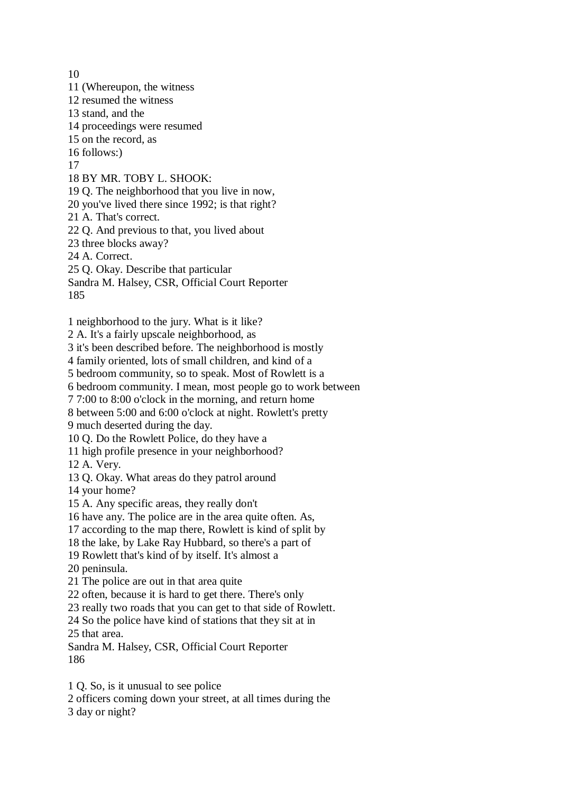10 11 (Whereupon, the witness 12 resumed the witness 13 stand, and the 14 proceedings were resumed 15 on the record, as 16 follows:) 17 18 BY MR. TOBY L. SHOOK: 19 Q. The neighborhood that you live in now, 20 you've lived there since 1992; is that right? 21 A. That's correct. 22 Q. And previous to that, you lived about 23 three blocks away? 24 A. Correct. 25 Q. Okay. Describe that particular Sandra M. Halsey, CSR, Official Court Reporter 185 1 neighborhood to the jury. What is it like? 2 A. It's a fairly upscale neighborhood, as 3 it's been described before. The neighborhood is mostly 4 family oriented, lots of small children, and kind of a 5 bedroom community, so to speak. Most of Rowlett is a 6 bedroom community. I mean, most people go to work between 7 7:00 to 8:00 o'clock in the morning, and return home 8 between 5:00 and 6:00 o'clock at night. Rowlett's pretty 9 much deserted during the day. 10 Q. Do the Rowlett Police, do they have a 11 high profile presence in your neighborhood? 12 A. Very. 13 Q. Okay. What areas do they patrol around 14 your home? 15 A. Any specific areas, they really don't 16 have any. The police are in the area quite often. As, 17 according to the map there, Rowlett is kind of split by 18 the lake, by Lake Ray Hubbard, so there's a part of 19 Rowlett that's kind of by itself. It's almost a 20 peninsula. 21 The police are out in that area quite 22 often, because it is hard to get there. There's only 23 really two roads that you can get to that side of Rowlett. 24 So the police have kind of stations that they sit at in 25 that area. Sandra M. Halsey, CSR, Official Court Reporter 186 1 Q. So, is it unusual to see police 2 officers coming down your street, at all times during the

3 day or night?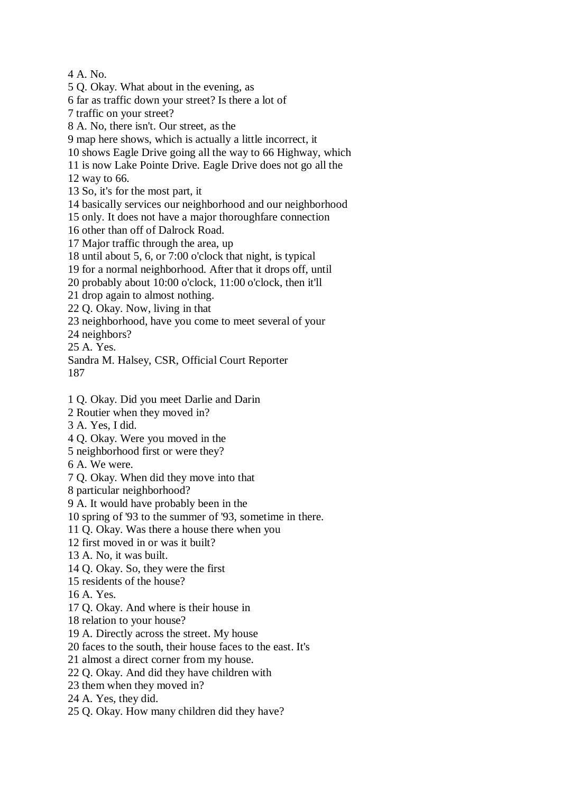4 A. No.

5 Q. Okay. What about in the evening, as

6 far as traffic down your street? Is there a lot of

7 traffic on your street?

8 A. No, there isn't. Our street, as the

9 map here shows, which is actually a little incorrect, it

10 shows Eagle Drive going all the way to 66 Highway, which

11 is now Lake Pointe Drive. Eagle Drive does not go all the

12 way to 66.

13 So, it's for the most part, it

14 basically services our neighborhood and our neighborhood

15 only. It does not have a major thoroughfare connection

16 other than off of Dalrock Road.

17 Major traffic through the area, up

18 until about 5, 6, or 7:00 o'clock that night, is typical

19 for a normal neighborhood. After that it drops off, until

20 probably about 10:00 o'clock, 11:00 o'clock, then it'll

21 drop again to almost nothing.

22 Q. Okay. Now, living in that

23 neighborhood, have you come to meet several of your

24 neighbors?

25 A. Yes.

Sandra M. Halsey, CSR, Official Court Reporter 187

1 Q. Okay. Did you meet Darlie and Darin

2 Routier when they moved in?

3 A. Yes, I did.

4 Q. Okay. Were you moved in the

5 neighborhood first or were they?

6 A. We were.

7 Q. Okay. When did they move into that

8 particular neighborhood?

9 A. It would have probably been in the

10 spring of '93 to the summer of '93, sometime in there.

11 Q. Okay. Was there a house there when you

12 first moved in or was it built?

13 A. No, it was built.

14 Q. Okay. So, they were the first

15 residents of the house?

16 A. Yes.

17 Q. Okay. And where is their house in

18 relation to your house?

19 A. Directly across the street. My house

20 faces to the south, their house faces to the east. It's

21 almost a direct corner from my house.

22 Q. Okay. And did they have children with

23 them when they moved in?

24 A. Yes, they did.

25 Q. Okay. How many children did they have?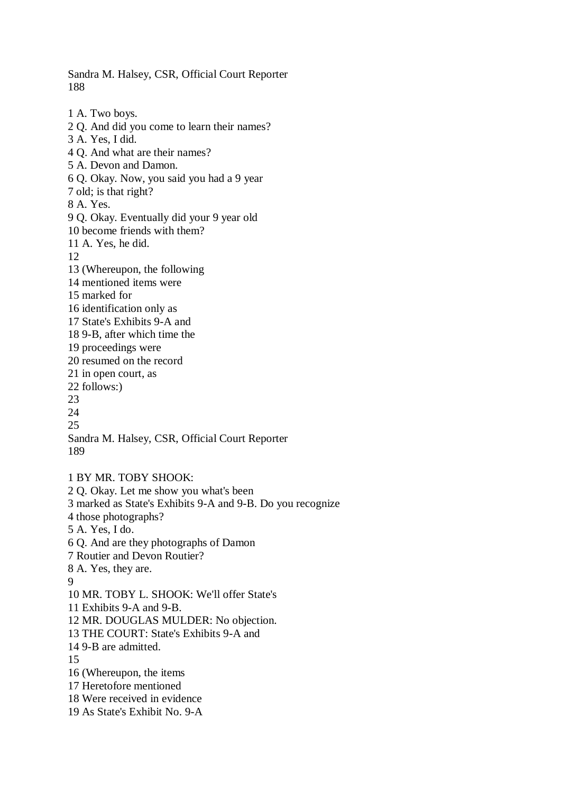Sandra M. Halsey, CSR, Official Court Reporter 188

1 A. Two boys. 2 Q. And did you come to learn their names? 3 A. Yes, I did. 4 Q. And what are their names? 5 A. Devon and Damon. 6 Q. Okay. Now, you said you had a 9 year 7 old; is that right? 8 A. Yes. 9 Q. Okay. Eventually did your 9 year old 10 become friends with them? 11 A. Yes, he did. 12 13 (Whereupon, the following 14 mentioned items were 15 marked for 16 identification only as 17 State's Exhibits 9-A and 18 9-B, after which time the 19 proceedings were 20 resumed on the record 21 in open court, as 22 follows:) 23 24 25 Sandra M. Halsey, CSR, Official Court Reporter 189

1 BY MR. TOBY SHOOK: 2 Q. Okay. Let me show you what's been 3 marked as State's Exhibits 9-A and 9-B. Do you recognize 4 those photographs? 5 A. Yes, I do. 6 Q. And are they photographs of Damon 7 Routier and Devon Routier? 8 A. Yes, they are. 9 10 MR. TOBY L. SHOOK: We'll offer State's 11 Exhibits 9-A and 9-B. 12 MR. DOUGLAS MULDER: No objection. 13 THE COURT: State's Exhibits 9-A and 14 9-B are admitted. 15 16 (Whereupon, the items 17 Heretofore mentioned 18 Were received in evidence 19 As State's Exhibit No. 9-A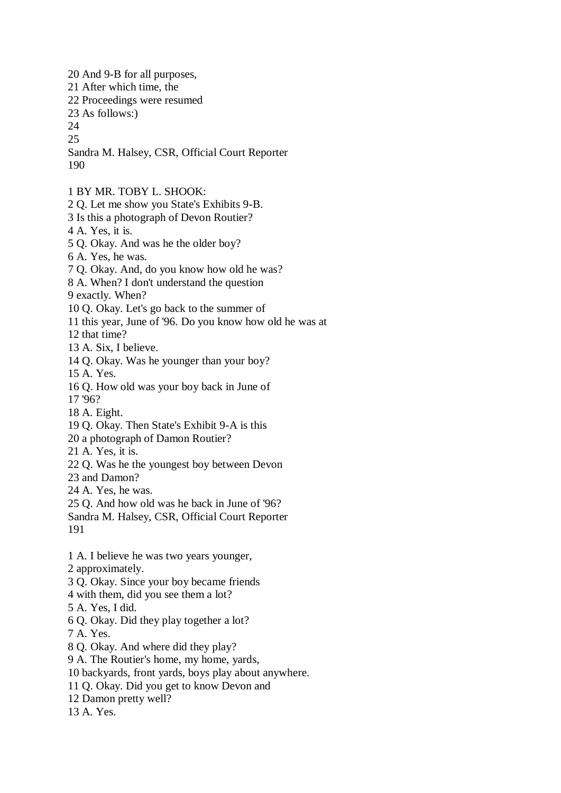20 And 9-B for all purposes, 21 After which time, the 22 Proceedings were resumed 23 As follows:) 24 25 Sandra M. Halsey, CSR, Official Court Reporter 190 1 BY MR. TOBY L. SHOOK: 2 Q. Let me show you State's Exhibits 9-B. 3 Is this a photograph of Devon Routier? 4 A. Yes, it is. 5 Q. Okay. And was he the older boy? 6 A. Yes, he was. 7 Q. Okay. And, do you know how old he was? 8 A. When? I don't understand the question 9 exactly. When? 10 Q. Okay. Let's go back to the summer of 11 this year, June of '96. Do you know how old he was at 12 that time? 13 A. Six, I believe. 14 Q. Okay. Was he younger than your boy? 15 A. Yes. 16 Q. How old was your boy back in June of 17 '96? 18 A. Eight. 19 Q. Okay. Then State's Exhibit 9-A is this 20 a photograph of Damon Routier? 21 A. Yes, it is. 22 Q. Was he the youngest boy between Devon 23 and Damon? 24 A. Yes, he was. 25 Q. And how old was he back in June of '96? Sandra M. Halsey, CSR, Official Court Reporter 191 1 A. I believe he was two years younger, 2 approximately. 3 Q. Okay. Since your boy became friends

- 4 with them, did you see them a lot?
- 5 A. Yes, I did.
- 6 Q. Okay. Did they play together a lot?
- 7 A. Yes.
- 8 Q. Okay. And where did they play?
- 9 A. The Routier's home, my home, yards,
- 10 backyards, front yards, boys play about anywhere.
- 11 Q. Okay. Did you get to know Devon and
- 12 Damon pretty well?
- 13 A. Yes.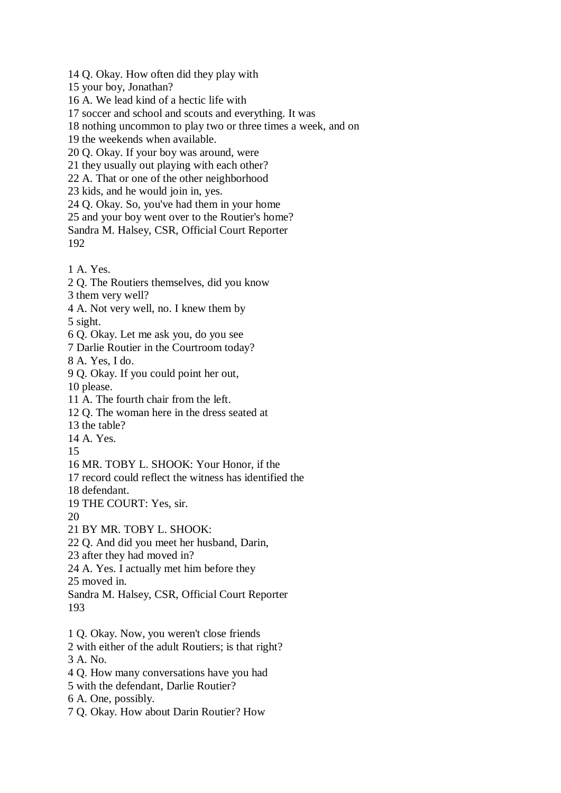14 Q. Okay. How often did they play with

15 your boy, Jonathan?

16 A. We lead kind of a hectic life with

17 soccer and school and scouts and everything. It was

18 nothing uncommon to play two or three times a week, and on

19 the weekends when available.

20 Q. Okay. If your boy was around, were

21 they usually out playing with each other?

22 A. That or one of the other neighborhood

23 kids, and he would join in, yes.

24 Q. Okay. So, you've had them in your home

25 and your boy went over to the Routier's home?

Sandra M. Halsey, CSR, Official Court Reporter 192

1 A. Yes.

2 Q. The Routiers themselves, did you know

3 them very well?

4 A. Not very well, no. I knew them by

5 sight.

6 Q. Okay. Let me ask you, do you see

7 Darlie Routier in the Courtroom today?

8 A. Yes, I do.

9 Q. Okay. If you could point her out,

10 please.

11 A. The fourth chair from the left.

12 Q. The woman here in the dress seated at

13 the table?

14 A. Yes.

15

16 MR. TOBY L. SHOOK: Your Honor, if the

17 record could reflect the witness has identified the

18 defendant.

19 THE COURT: Yes, sir.

20

21 BY MR. TOBY L. SHOOK:

22 Q. And did you meet her husband, Darin,

23 after they had moved in?

24 A. Yes. I actually met him before they

25 moved in.

Sandra M. Halsey, CSR, Official Court Reporter 193

1 Q. Okay. Now, you weren't close friends

2 with either of the adult Routiers; is that right? 3 A. No.

4 Q. How many conversations have you had

5 with the defendant, Darlie Routier?

6 A. One, possibly.

7 Q. Okay. How about Darin Routier? How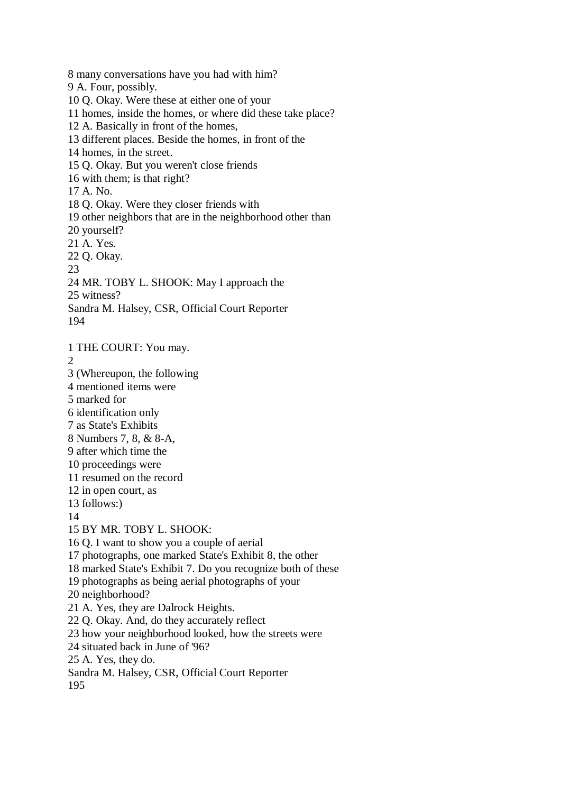8 many conversations have you had with him? 9 A. Four, possibly. 10 Q. Okay. Were these at either one of your 11 homes, inside the homes, or where did these take place? 12 A. Basically in front of the homes, 13 different places. Beside the homes, in front of the 14 homes, in the street. 15 Q. Okay. But you weren't close friends 16 with them; is that right? 17 A. No. 18 Q. Okay. Were they closer friends with 19 other neighbors that are in the neighborhood other than 20 yourself? 21 A. Yes. 22 Q. Okay. 23 24 MR. TOBY L. SHOOK: May I approach the 25 witness? Sandra M. Halsey, CSR, Official Court Reporter 194 1 THE COURT: You may. 2 3 (Whereupon, the following 4 mentioned items were 5 marked for 6 identification only 7 as State's Exhibits 8 Numbers 7, 8, & 8-A, 9 after which time the 10 proceedings were 11 resumed on the record 12 in open court, as 13 follows:) 14 15 BY MR. TOBY L. SHOOK: 16 Q. I want to show you a couple of aerial 17 photographs, one marked State's Exhibit 8, the other 18 marked State's Exhibit 7. Do you recognize both of these 19 photographs as being aerial photographs of your 20 neighborhood?

21 A. Yes, they are Dalrock Heights.

22 Q. Okay. And, do they accurately reflect

23 how your neighborhood looked, how the streets were

24 situated back in June of '96?

25 A. Yes, they do.

Sandra M. Halsey, CSR, Official Court Reporter

195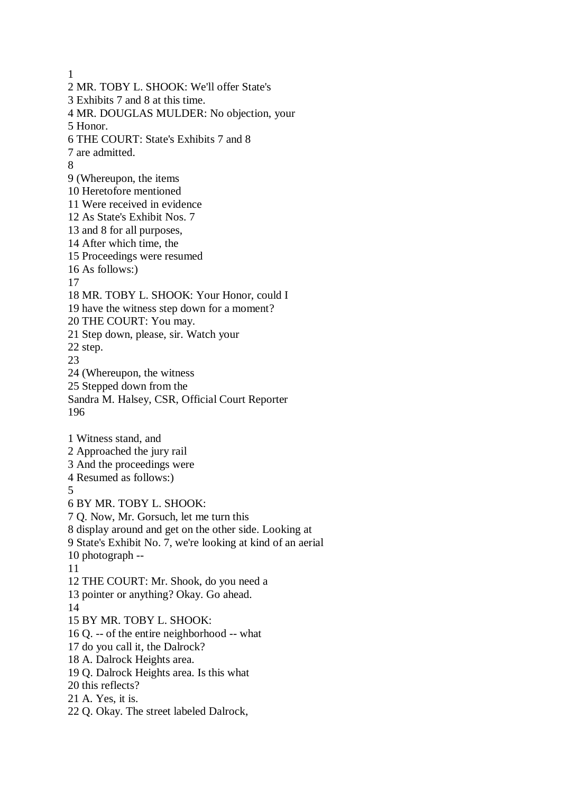1 2 MR. TOBY L. SHOOK: We'll offer State's 3 Exhibits 7 and 8 at this time. 4 MR. DOUGLAS MULDER: No objection, your 5 Honor. 6 THE COURT: State's Exhibits 7 and 8 7 are admitted. 8 9 (Whereupon, the items 10 Heretofore mentioned 11 Were received in evidence 12 As State's Exhibit Nos. 7 13 and 8 for all purposes, 14 After which time, the 15 Proceedings were resumed 16 As follows:) 17 18 MR. TOBY L. SHOOK: Your Honor, could I 19 have the witness step down for a moment? 20 THE COURT: You may. 21 Step down, please, sir. Watch your 22 step. 23 24 (Whereupon, the witness 25 Stepped down from the Sandra M. Halsey, CSR, Official Court Reporter 196 1 Witness stand, and 2 Approached the jury rail 3 And the proceedings were 4 Resumed as follows:) 5 6 BY MR. TOBY L. SHOOK: 7 Q. Now, Mr. Gorsuch, let me turn this 8 display around and get on the other side. Looking at 9 State's Exhibit No. 7, we're looking at kind of an aerial 10 photograph -- 11 12 THE COURT: Mr. Shook, do you need a 13 pointer or anything? Okay. Go ahead. 14 15 BY MR. TOBY L. SHOOK: 16 Q. -- of the entire neighborhood -- what 17 do you call it, the Dalrock? 18 A. Dalrock Heights area. 19 Q. Dalrock Heights area. Is this what 20 this reflects? 21 A. Yes, it is. 22 Q. Okay. The street labeled Dalrock,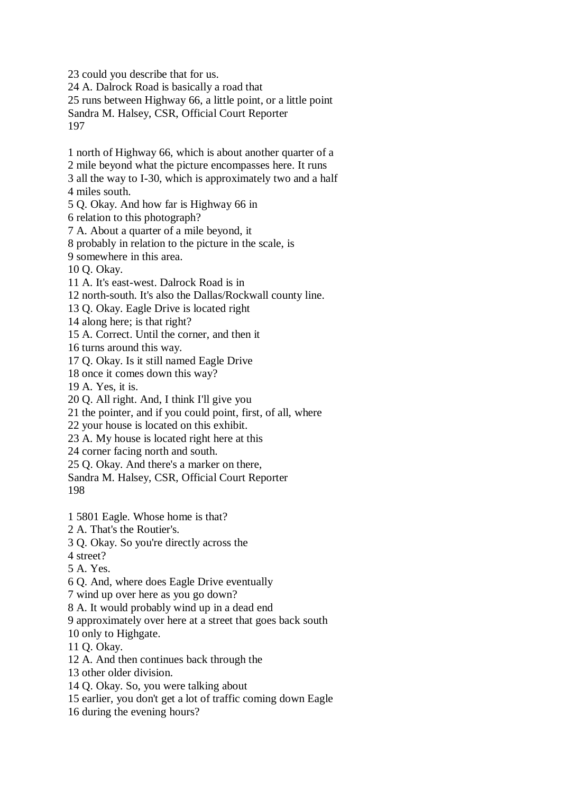23 could you describe that for us. 24 A. Dalrock Road is basically a road that 25 runs between Highway 66, a little point, or a little point Sandra M. Halsey, CSR, Official Court Reporter 197

1 north of Highway 66, which is about another quarter of a 2 mile beyond what the picture encompasses here. It runs 3 all the way to I-30, which is approximately two and a half 4 miles south. 5 Q. Okay. And how far is Highway 66 in 6 relation to this photograph? 7 A. About a quarter of a mile beyond, it 8 probably in relation to the picture in the scale, is 9 somewhere in this area. 10 Q. Okay. 11 A. It's east-west. Dalrock Road is in 12 north-south. It's also the Dallas/Rockwall county line. 13 Q. Okay. Eagle Drive is located right

14 along here; is that right?

15 A. Correct. Until the corner, and then it

16 turns around this way.

17 Q. Okay. Is it still named Eagle Drive

18 once it comes down this way?

19 A. Yes, it is.

20 Q. All right. And, I think I'll give you

21 the pointer, and if you could point, first, of all, where

22 your house is located on this exhibit.

23 A. My house is located right here at this

24 corner facing north and south.

25 Q. Okay. And there's a marker on there,

Sandra M. Halsey, CSR, Official Court Reporter 198

1 5801 Eagle. Whose home is that?

2 A. That's the Routier's.

3 Q. Okay. So you're directly across the

4 street?

5 A. Yes.

6 Q. And, where does Eagle Drive eventually

7 wind up over here as you go down?

8 A. It would probably wind up in a dead end

9 approximately over here at a street that goes back south

10 only to Highgate.

11 Q. Okay.

12 A. And then continues back through the

13 other older division.

14 Q. Okay. So, you were talking about

15 earlier, you don't get a lot of traffic coming down Eagle

16 during the evening hours?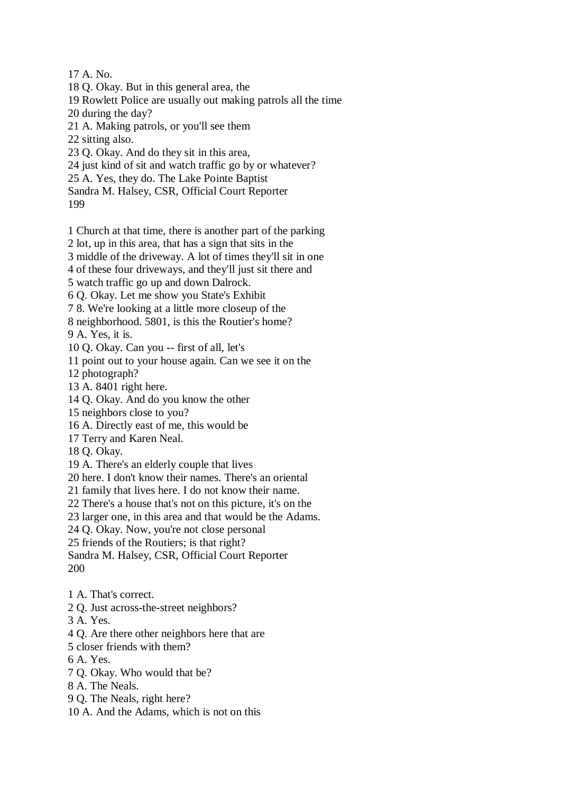17 A. No.

18 Q. Okay. But in this general area, the

- 19 Rowlett Police are usually out making patrols all the time
- 20 during the day?
- 21 A. Making patrols, or you'll see them
- 22 sitting also.
- 23 Q. Okay. And do they sit in this area,
- 24 just kind of sit and watch traffic go by or whatever?
- 25 A. Yes, they do. The Lake Pointe Baptist

Sandra M. Halsey, CSR, Official Court Reporter

199

1 Church at that time, there is another part of the parking

- 2 lot, up in this area, that has a sign that sits in the
- 3 middle of the driveway. A lot of times they'll sit in one
- 4 of these four driveways, and they'll just sit there and

5 watch traffic go up and down Dalrock.

- 6 Q. Okay. Let me show you State's Exhibit
- 7 8. We're looking at a little more closeup of the
- 8 neighborhood. 5801, is this the Routier's home?

9 A. Yes, it is.

10 Q. Okay. Can you -- first of all, let's

11 point out to your house again. Can we see it on the

12 photograph?

13 A. 8401 right here.

14 Q. Okay. And do you know the other

15 neighbors close to you?

16 A. Directly east of me, this would be

- 17 Terry and Karen Neal.
- 18 Q. Okay.

19 A. There's an elderly couple that lives

20 here. I don't know their names. There's an oriental

21 family that lives here. I do not know their name.

22 There's a house that's not on this picture, it's on the

23 larger one, in this area and that would be the Adams.

24 Q. Okay. Now, you're not close personal

25 friends of the Routiers; is that right?

Sandra M. Halsey, CSR, Official Court Reporter 200

- 1 A. That's correct.
- 2 Q. Just across-the-street neighbors?
- 3 A. Yes.
- 4 Q. Are there other neighbors here that are
- 5 closer friends with them?
- 6 A. Yes.
- 7 Q. Okay. Who would that be?
- 8 A. The Neals.
- 9 Q. The Neals, right here?
- 10 A. And the Adams, which is not on this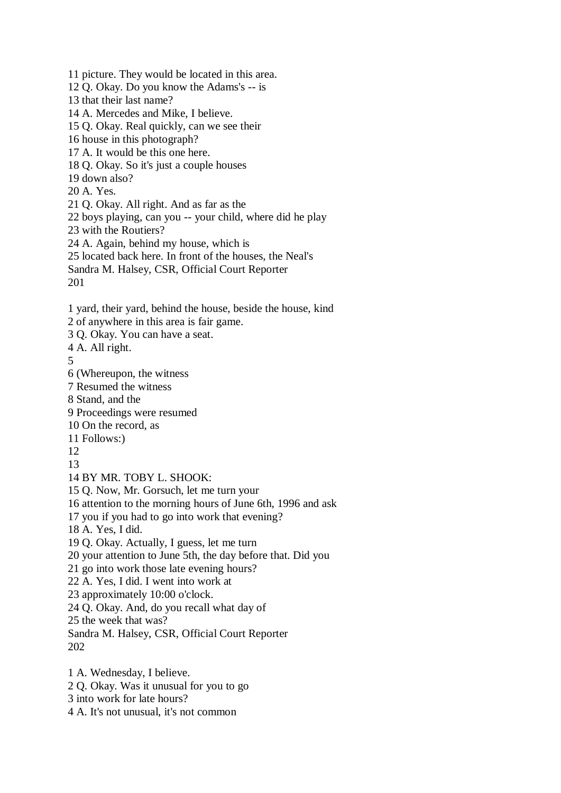11 picture. They would be located in this area. 12 Q. Okay. Do you know the Adams's -- is 13 that their last name? 14 A. Mercedes and Mike, I believe. 15 Q. Okay. Real quickly, can we see their 16 house in this photograph? 17 A. It would be this one here. 18 Q. Okay. So it's just a couple houses 19 down also? 20 A. Yes. 21 Q. Okay. All right. And as far as the 22 boys playing, can you -- your child, where did he play 23 with the Routiers? 24 A. Again, behind my house, which is 25 located back here. In front of the houses, the Neal's Sandra M. Halsey, CSR, Official Court Reporter 201 1 yard, their yard, behind the house, beside the house, kind 2 of anywhere in this area is fair game. 3 Q. Okay. You can have a seat. 4 A. All right. 5 6 (Whereupon, the witness 7 Resumed the witness 8 Stand, and the 9 Proceedings were resumed 10 On the record, as 11 Follows:) 12 13 14 BY MR. TOBY L. SHOOK: 15 Q. Now, Mr. Gorsuch, let me turn your 16 attention to the morning hours of June 6th, 1996 and ask 17 you if you had to go into work that evening? 18 A. Yes, I did. 19 Q. Okay. Actually, I guess, let me turn 20 your attention to June 5th, the day before that. Did you 21 go into work those late evening hours? 22 A. Yes, I did. I went into work at 23 approximately 10:00 o'clock. 24 Q. Okay. And, do you recall what day of 25 the week that was? Sandra M. Halsey, CSR, Official Court Reporter 202 1 A. Wednesday, I believe. 2 Q. Okay. Was it unusual for you to go

- 3 into work for late hours?
- 4 A. It's not unusual, it's not common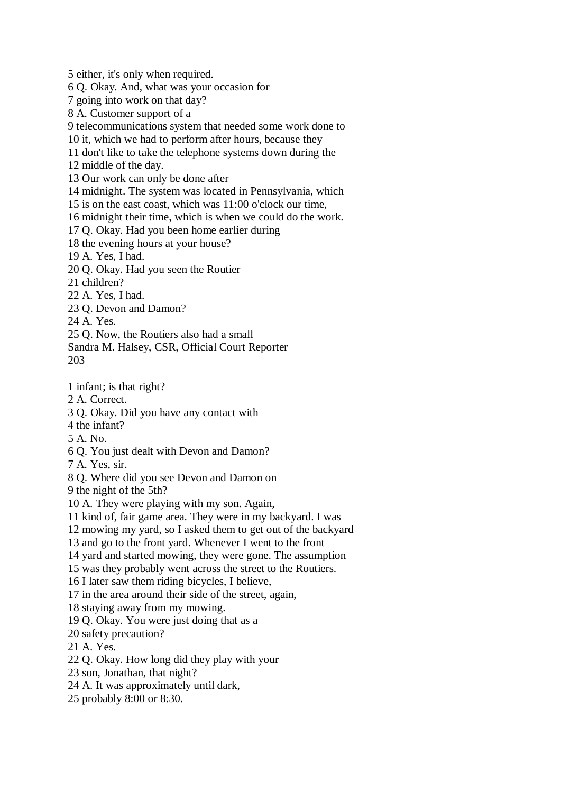5 either, it's only when required.

6 Q. Okay. And, what was your occasion for

7 going into work on that day?

8 A. Customer support of a

9 telecommunications system that needed some work done to

10 it, which we had to perform after hours, because they

11 don't like to take the telephone systems down during the

12 middle of the day.

13 Our work can only be done after

14 midnight. The system was located in Pennsylvania, which

15 is on the east coast, which was 11:00 o'clock our time,

16 midnight their time, which is when we could do the work.

17 Q. Okay. Had you been home earlier during

18 the evening hours at your house?

19 A. Yes, I had.

20 Q. Okay. Had you seen the Routier

21 children?

22 A. Yes, I had.

23 Q. Devon and Damon?

24 A. Yes.

25 Q. Now, the Routiers also had a small

Sandra M. Halsey, CSR, Official Court Reporter 203

1 infant; is that right?

2 A. Correct.

3 Q. Okay. Did you have any contact with

4 the infant?

5 A. No.

6 Q. You just dealt with Devon and Damon?

7 A. Yes, sir.

8 Q. Where did you see Devon and Damon on

9 the night of the 5th?

10 A. They were playing with my son. Again,

11 kind of, fair game area. They were in my backyard. I was

12 mowing my yard, so I asked them to get out of the backyard

13 and go to the front yard. Whenever I went to the front

14 yard and started mowing, they were gone. The assumption

15 was they probably went across the street to the Routiers.

16 I later saw them riding bicycles, I believe,

17 in the area around their side of the street, again,

18 staying away from my mowing.

19 Q. Okay. You were just doing that as a

20 safety precaution?

21 A. Yes.

22 Q. Okay. How long did they play with your

23 son, Jonathan, that night?

24 A. It was approximately until dark,

25 probably 8:00 or 8:30.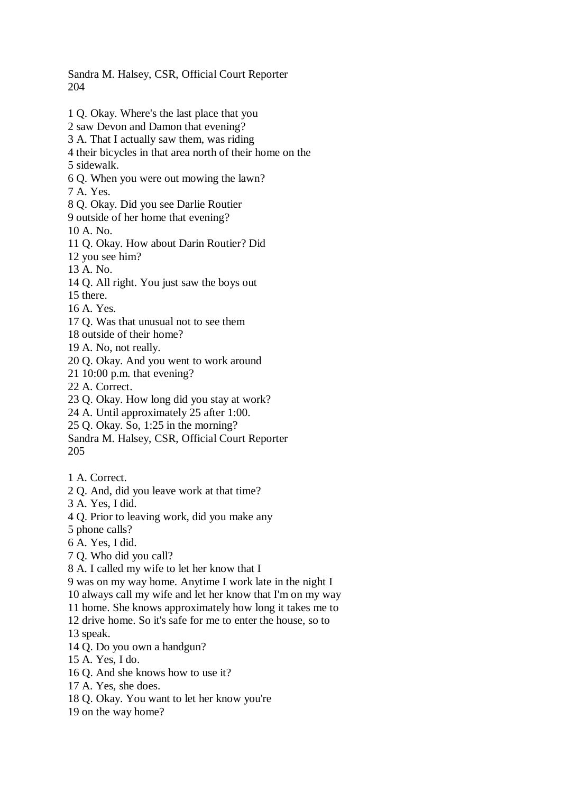Sandra M. Halsey, CSR, Official Court Reporter 204

- 1 Q. Okay. Where's the last place that you 2 saw Devon and Damon that evening? 3 A. That I actually saw them, was riding 4 their bicycles in that area north of their home on the 5 sidewalk. 6 Q. When you were out mowing the lawn? 7 A. Yes. 8 Q. Okay. Did you see Darlie Routier 9 outside of her home that evening? 10 A. No. 11 Q. Okay. How about Darin Routier? Did 12 you see him? 13 A. No. 14 Q. All right. You just saw the boys out 15 there. 16 A. Yes. 17 Q. Was that unusual not to see them 18 outside of their home? 19 A. No, not really. 20 Q. Okay. And you went to work around 21 10:00 p.m. that evening? 22 A. Correct. 23 Q. Okay. How long did you stay at work? 24 A. Until approximately 25 after 1:00. 25 Q. Okay. So, 1:25 in the morning? Sandra M. Halsey, CSR, Official Court Reporter 205 1 A. Correct. 2 Q. And, did you leave work at that time? 3 A. Yes, I did. 4 Q. Prior to leaving work, did you make any 5 phone calls? 6 A. Yes, I did. 7 Q. Who did you call? 8 A. I called my wife to let her know that I 9 was on my way home. Anytime I work late in the night I 10 always call my wife and let her know that I'm on my way
- 11 home. She knows approximately how long it takes me to

12 drive home. So it's safe for me to enter the house, so to

13 speak.

- 14 Q. Do you own a handgun?
- 15 A. Yes, I do.
- 16 Q. And she knows how to use it?
- 17 A. Yes, she does.
- 18 Q. Okay. You want to let her know you're
- 19 on the way home?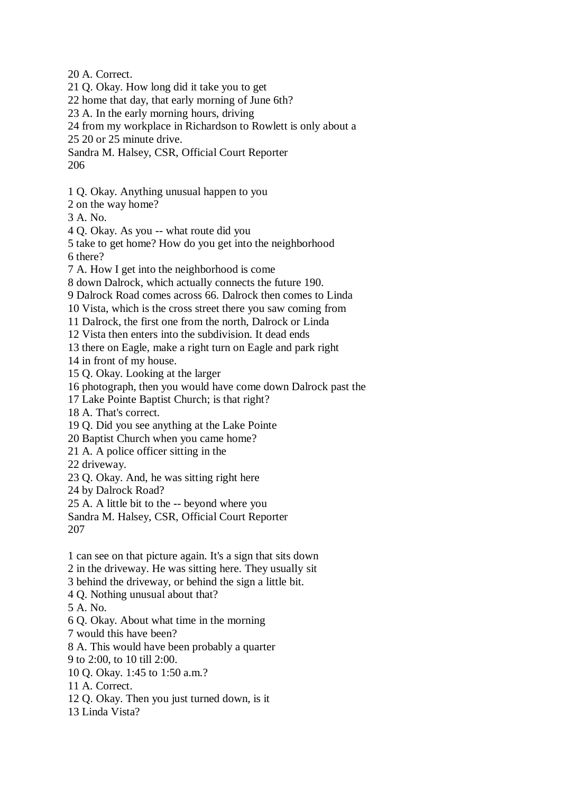20 A. Correct.

- 21 Q. Okay. How long did it take you to get
- 22 home that day, that early morning of June 6th?
- 23 A. In the early morning hours, driving
- 24 from my workplace in Richardson to Rowlett is only about a
- 25 20 or 25 minute drive.
- Sandra M. Halsey, CSR, Official Court Reporter 206
- 1 Q. Okay. Anything unusual happen to you
- 2 on the way home?
- 3 A. No.
- 4 Q. Okay. As you -- what route did you
- 5 take to get home? How do you get into the neighborhood 6 there?
- 7 A. How I get into the neighborhood is come
- 8 down Dalrock, which actually connects the future 190.
- 9 Dalrock Road comes across 66. Dalrock then comes to Linda
- 10 Vista, which is the cross street there you saw coming from
- 11 Dalrock, the first one from the north, Dalrock or Linda
- 12 Vista then enters into the subdivision. It dead ends
- 13 there on Eagle, make a right turn on Eagle and park right
- 14 in front of my house.
- 15 Q. Okay. Looking at the larger
- 16 photograph, then you would have come down Dalrock past the
- 17 Lake Pointe Baptist Church; is that right?
- 18 A. That's correct.
- 19 Q. Did you see anything at the Lake Pointe
- 20 Baptist Church when you came home?
- 21 A. A police officer sitting in the
- 22 driveway.
- 23 Q. Okay. And, he was sitting right here
- 24 by Dalrock Road?
- 25 A. A little bit to the -- beyond where you
- Sandra M. Halsey, CSR, Official Court Reporter 207
- 1 can see on that picture again. It's a sign that sits down
- 2 in the driveway. He was sitting here. They usually sit
- 3 behind the driveway, or behind the sign a little bit.
- 4 Q. Nothing unusual about that?
- 5 A. No.
- 6 Q. Okay. About what time in the morning
- 7 would this have been?
- 8 A. This would have been probably a quarter
- 9 to 2:00, to 10 till 2:00.
- 10 Q. Okay. 1:45 to 1:50 a.m.?
- 11 A. Correct.
- 12 Q. Okay. Then you just turned down, is it
- 13 Linda Vista?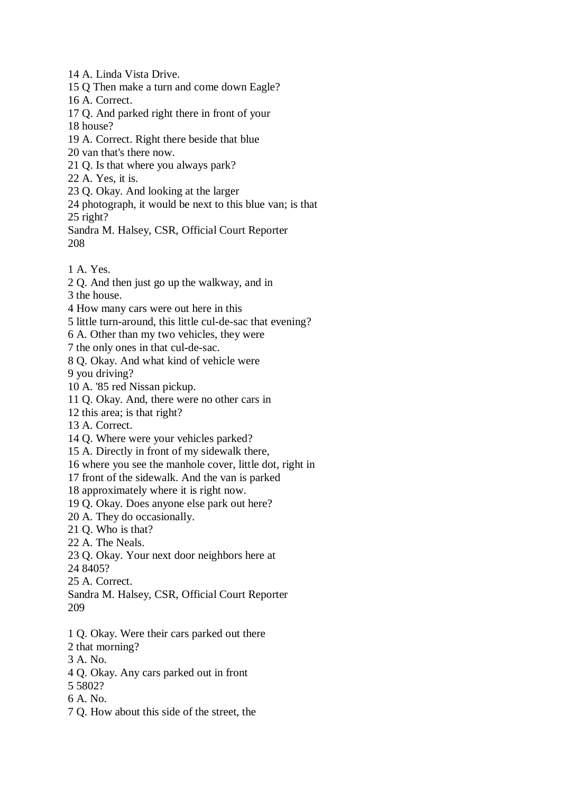14 A. Linda Vista Drive.

15 Q Then make a turn and come down Eagle?

16 A. Correct.

17 Q. And parked right there in front of your

18 house?

19 A. Correct. Right there beside that blue

20 van that's there now.

21 Q. Is that where you always park?

22 A. Yes, it is.

23 Q. Okay. And looking at the larger

24 photograph, it would be next to this blue van; is that 25 right?

Sandra M. Halsey, CSR, Official Court Reporter 208

1 A. Yes.

2 Q. And then just go up the walkway, and in

3 the house.

4 How many cars were out here in this

5 little turn-around, this little cul-de-sac that evening?

6 A. Other than my two vehicles, they were

7 the only ones in that cul-de-sac.

8 Q. Okay. And what kind of vehicle were

9 you driving?

10 A. '85 red Nissan pickup.

11 Q. Okay. And, there were no other cars in

12 this area; is that right?

13 A. Correct.

14 Q. Where were your vehicles parked?

15 A. Directly in front of my sidewalk there,

16 where you see the manhole cover, little dot, right in

17 front of the sidewalk. And the van is parked

18 approximately where it is right now.

19 Q. Okay. Does anyone else park out here?

20 A. They do occasionally.

21 Q. Who is that?

22 A. The Neals.

23 Q. Okay. Your next door neighbors here at

24 8405?

25 A. Correct.

Sandra M. Halsey, CSR, Official Court Reporter 209

1 Q. Okay. Were their cars parked out there

2 that morning?

3 A. No.

4 Q. Okay. Any cars parked out in front

5 5802?

6 A. No.

7 Q. How about this side of the street, the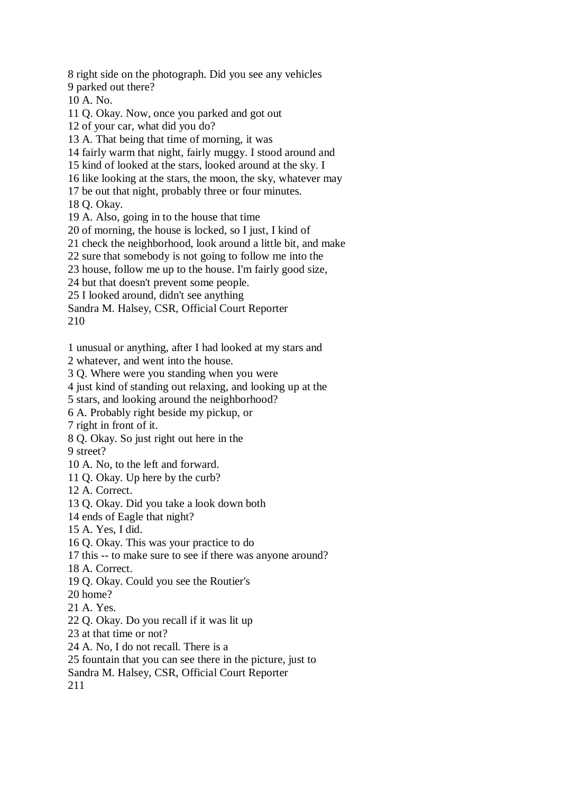8 right side on the photograph. Did you see any vehicles 9 parked out there? 10 A. No.

11 Q. Okay. Now, once you parked and got out

12 of your car, what did you do?

13 A. That being that time of morning, it was

14 fairly warm that night, fairly muggy. I stood around and

15 kind of looked at the stars, looked around at the sky. I

16 like looking at the stars, the moon, the sky, whatever may

17 be out that night, probably three or four minutes.

18 Q. Okay.

19 A. Also, going in to the house that time

20 of morning, the house is locked, so I just, I kind of

21 check the neighborhood, look around a little bit, and make

22 sure that somebody is not going to follow me into the

23 house, follow me up to the house. I'm fairly good size,

24 but that doesn't prevent some people.

25 I looked around, didn't see anything

Sandra M. Halsey, CSR, Official Court Reporter

210

1 unusual or anything, after I had looked at my stars and

2 whatever, and went into the house.

3 Q. Where were you standing when you were

4 just kind of standing out relaxing, and looking up at the

5 stars, and looking around the neighborhood?

6 A. Probably right beside my pickup, or

7 right in front of it.

8 Q. Okay. So just right out here in the

9 street?

10 A. No, to the left and forward.

11 Q. Okay. Up here by the curb?

12 A. Correct.

13 Q. Okay. Did you take a look down both

14 ends of Eagle that night?

15 A. Yes, I did.

16 Q. Okay. This was your practice to do

17 this -- to make sure to see if there was anyone around?

18 A. Correct.

19 Q. Okay. Could you see the Routier's

20 home?

21 A. Yes.

22 Q. Okay. Do you recall if it was lit up

23 at that time or not?

24 A. No, I do not recall. There is a

25 fountain that you can see there in the picture, just to

Sandra M. Halsey, CSR, Official Court Reporter

211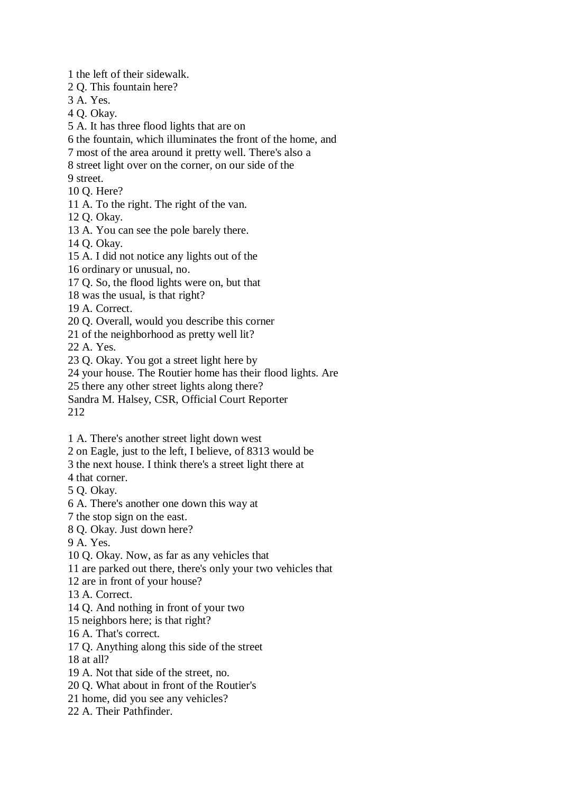1 the left of their sidewalk.

2 Q. This fountain here?

3 A. Yes.

4 Q. Okay.

5 A. It has three flood lights that are on

6 the fountain, which illuminates the front of the home, and

7 most of the area around it pretty well. There's also a

8 street light over on the corner, on our side of the

9 street.

10 Q. Here?

11 A. To the right. The right of the van.

12 Q. Okay.

13 A. You can see the pole barely there.

14 Q. Okay.

15 A. I did not notice any lights out of the

16 ordinary or unusual, no.

17 Q. So, the flood lights were on, but that

18 was the usual, is that right?

19 A. Correct.

20 Q. Overall, would you describe this corner

21 of the neighborhood as pretty well lit?

22 A. Yes.

23 Q. Okay. You got a street light here by

24 your house. The Routier home has their flood lights. Are

25 there any other street lights along there?

Sandra M. Halsey, CSR, Official Court Reporter

212

1 A. There's another street light down west

2 on Eagle, just to the left, I believe, of 8313 would be

3 the next house. I think there's a street light there at

4 that corner.

5 Q. Okay.

6 A. There's another one down this way at

7 the stop sign on the east.

8 Q. Okay. Just down here?

9 A. Yes.

10 Q. Okay. Now, as far as any vehicles that

11 are parked out there, there's only your two vehicles that

12 are in front of your house?

13 A. Correct.

14 Q. And nothing in front of your two

15 neighbors here; is that right?

16 A. That's correct.

17 Q. Anything along this side of the street

18 at all?

19 A. Not that side of the street, no.

20 Q. What about in front of the Routier's

21 home, did you see any vehicles?

22 A. Their Pathfinder.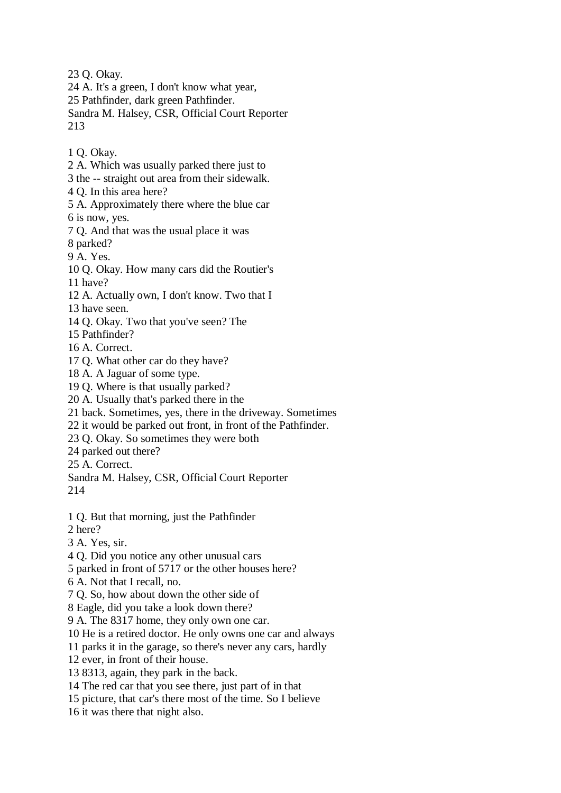23 Q. Okay.

- 24 A. It's a green, I don't know what year,
- 25 Pathfinder, dark green Pathfinder.

Sandra M. Halsey, CSR, Official Court Reporter 213

- 1 Q. Okay.
- 2 A. Which was usually parked there just to
- 3 the -- straight out area from their sidewalk.
- 4 Q. In this area here?
- 5 A. Approximately there where the blue car 6 is now, yes.
- 7 Q. And that was the usual place it was
- 8 parked?
- 9 A. Yes.
- 10 Q. Okay. How many cars did the Routier's
- 11 have?
- 12 A. Actually own, I don't know. Two that I
- 13 have seen.
- 14 Q. Okay. Two that you've seen? The
- 15 Pathfinder?
- 16 A. Correct.
- 17 Q. What other car do they have?
- 18 A. A Jaguar of some type.
- 19 Q. Where is that usually parked?
- 20 A. Usually that's parked there in the
- 21 back. Sometimes, yes, there in the driveway. Sometimes
- 22 it would be parked out front, in front of the Pathfinder.
- 23 Q. Okay. So sometimes they were both
- 24 parked out there?
- 25 A. Correct.
- Sandra M. Halsey, CSR, Official Court Reporter 214
- 1 Q. But that morning, just the Pathfinder
- 2 here?
- 3 A. Yes, sir.
- 4 Q. Did you notice any other unusual cars
- 5 parked in front of 5717 or the other houses here?
- 6 A. Not that I recall, no.
- 7 Q. So, how about down the other side of
- 8 Eagle, did you take a look down there?
- 9 A. The 8317 home, they only own one car.
- 10 He is a retired doctor. He only owns one car and always
- 11 parks it in the garage, so there's never any cars, hardly
- 12 ever, in front of their house.
- 13 8313, again, they park in the back.
- 14 The red car that you see there, just part of in that
- 15 picture, that car's there most of the time. So I believe
- 16 it was there that night also.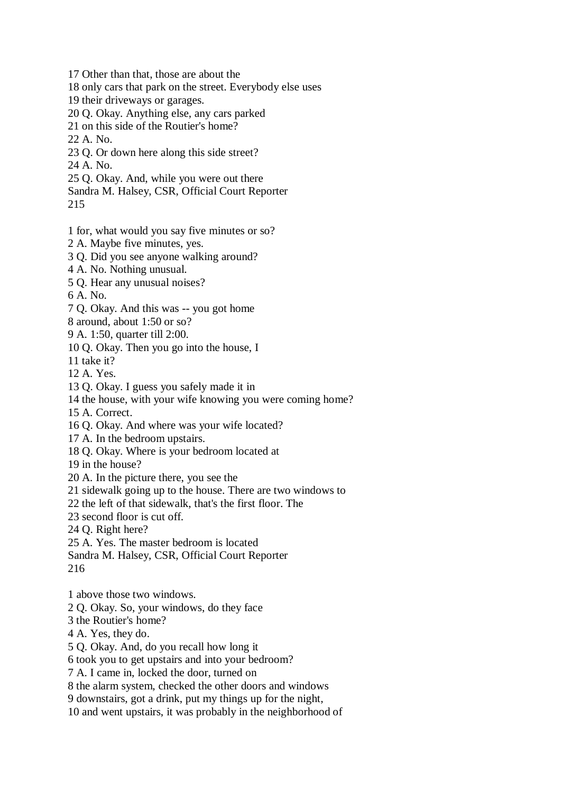17 Other than that, those are about the

18 only cars that park on the street. Everybody else uses

19 their driveways or garages.

20 Q. Okay. Anything else, any cars parked

21 on this side of the Routier's home?

22 A. No.

23 Q. Or down here along this side street?

24 A. No.

25 Q. Okay. And, while you were out there

Sandra M. Halsey, CSR, Official Court Reporter

215

1 for, what would you say five minutes or so?

2 A. Maybe five minutes, yes.

3 Q. Did you see anyone walking around?

4 A. No. Nothing unusual.

5 Q. Hear any unusual noises?

6 A. No.

7 Q. Okay. And this was -- you got home

8 around, about 1:50 or so?

9 A. 1:50, quarter till 2:00.

10 Q. Okay. Then you go into the house, I

11 take it?

12 A. Yes.

13 Q. Okay. I guess you safely made it in

14 the house, with your wife knowing you were coming home?

15 A. Correct.

16 Q. Okay. And where was your wife located?

17 A. In the bedroom upstairs.

18 Q. Okay. Where is your bedroom located at

19 in the house?

20 A. In the picture there, you see the

21 sidewalk going up to the house. There are two windows to

22 the left of that sidewalk, that's the first floor. The

23 second floor is cut off.

24 Q. Right here?

25 A. Yes. The master bedroom is located

Sandra M. Halsey, CSR, Official Court Reporter

216

1 above those two windows.

2 Q. Okay. So, your windows, do they face

3 the Routier's home?

4 A. Yes, they do.

5 Q. Okay. And, do you recall how long it

6 took you to get upstairs and into your bedroom?

7 A. I came in, locked the door, turned on

8 the alarm system, checked the other doors and windows

9 downstairs, got a drink, put my things up for the night,

10 and went upstairs, it was probably in the neighborhood of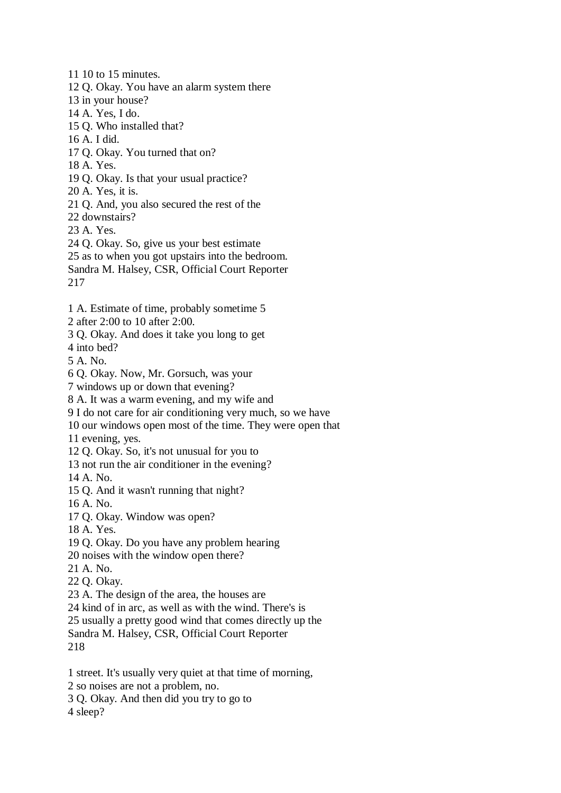11 10 to 15 minutes. 12 Q. Okay. You have an alarm system there 13 in your house? 14 A. Yes, I do. 15 Q. Who installed that? 16 A. I did. 17 Q. Okay. You turned that on? 18 A. Yes. 19 Q. Okay. Is that your usual practice? 20 A. Yes, it is. 21 Q. And, you also secured the rest of the 22 downstairs? 23 A. Yes. 24 Q. Okay. So, give us your best estimate 25 as to when you got upstairs into the bedroom. Sandra M. Halsey, CSR, Official Court Reporter

217

1 A. Estimate of time, probably sometime 5

2 after 2:00 to 10 after 2:00.

3 Q. Okay. And does it take you long to get

4 into bed?

5 A. No.

6 Q. Okay. Now, Mr. Gorsuch, was your

7 windows up or down that evening?

8 A. It was a warm evening, and my wife and

9 I do not care for air conditioning very much, so we have

10 our windows open most of the time. They were open that

11 evening, yes.

12 Q. Okay. So, it's not unusual for you to

13 not run the air conditioner in the evening?

14 A. No.

15 Q. And it wasn't running that night?

16 A. No.

17 Q. Okay. Window was open?

18 A. Yes.

19 Q. Okay. Do you have any problem hearing

20 noises with the window open there?

21 A. No.

22 Q. Okay.

23 A. The design of the area, the houses are

24 kind of in arc, as well as with the wind. There's is

25 usually a pretty good wind that comes directly up the

Sandra M. Halsey, CSR, Official Court Reporter 218

1 street. It's usually very quiet at that time of morning,

2 so noises are not a problem, no.

3 Q. Okay. And then did you try to go to

4 sleep?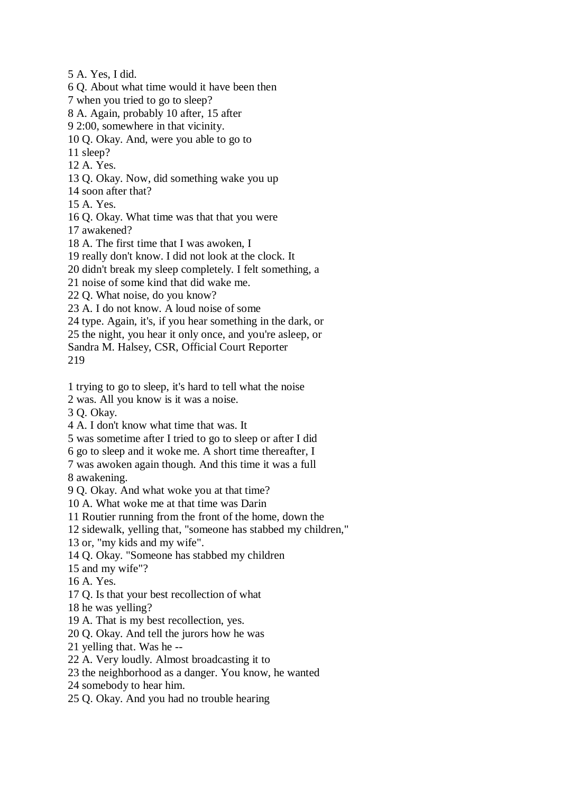5 A. Yes, I did.

6 Q. About what time would it have been then

7 when you tried to go to sleep?

8 A. Again, probably 10 after, 15 after

9 2:00, somewhere in that vicinity.

10 Q. Okay. And, were you able to go to

11 sleep?

12 A. Yes.

13 Q. Okay. Now, did something wake you up

14 soon after that?

15 A. Yes.

16 Q. Okay. What time was that that you were

17 awakened?

18 A. The first time that I was awoken, I

19 really don't know. I did not look at the clock. It

20 didn't break my sleep completely. I felt something, a

21 noise of some kind that did wake me.

22 Q. What noise, do you know?

23 A. I do not know. A loud noise of some

24 type. Again, it's, if you hear something in the dark, or

25 the night, you hear it only once, and you're asleep, or

Sandra M. Halsey, CSR, Official Court Reporter 219

1 trying to go to sleep, it's hard to tell what the noise

2 was. All you know is it was a noise.

3 Q. Okay.

4 A. I don't know what time that was. It

5 was sometime after I tried to go to sleep or after I did

6 go to sleep and it woke me. A short time thereafter, I

7 was awoken again though. And this time it was a full

8 awakening.

9 Q. Okay. And what woke you at that time?

10 A. What woke me at that time was Darin

11 Routier running from the front of the home, down the

12 sidewalk, yelling that, "someone has stabbed my children,"

13 or, "my kids and my wife".

14 Q. Okay. "Someone has stabbed my children

15 and my wife"?

16 A. Yes.

17 Q. Is that your best recollection of what

18 he was yelling?

19 A. That is my best recollection, yes.

20 Q. Okay. And tell the jurors how he was

21 yelling that. Was he --

22 A. Very loudly. Almost broadcasting it to

23 the neighborhood as a danger. You know, he wanted

24 somebody to hear him.

25 Q. Okay. And you had no trouble hearing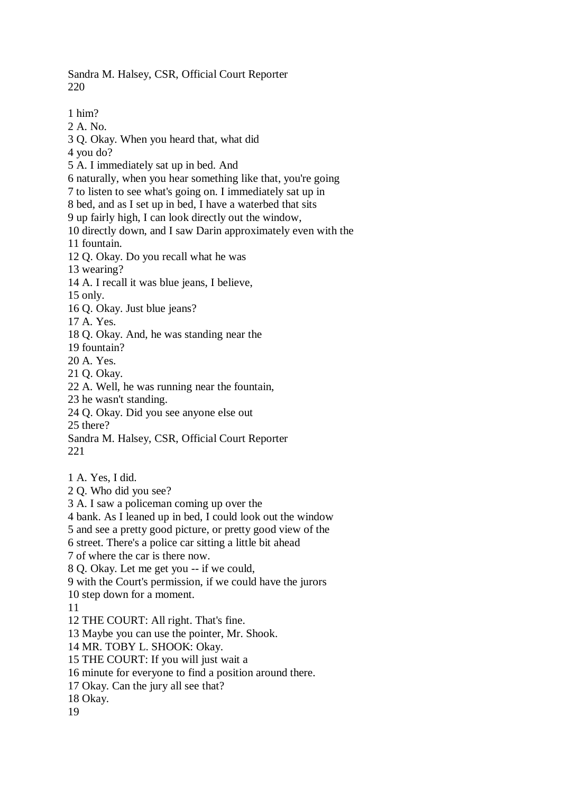Sandra M. Halsey, CSR, Official Court Reporter 220

1 him? 2 A. No. 3 Q. Okay. When you heard that, what did 4 you do? 5 A. I immediately sat up in bed. And 6 naturally, when you hear something like that, you're going 7 to listen to see what's going on. I immediately sat up in 8 bed, and as I set up in bed, I have a waterbed that sits 9 up fairly high, I can look directly out the window, 10 directly down, and I saw Darin approximately even with the 11 fountain.

12 Q. Okay. Do you recall what he was

13 wearing?

14 A. I recall it was blue jeans, I believe,

15 only.

16 Q. Okay. Just blue jeans?

17 A. Yes.

18 Q. Okay. And, he was standing near the

19 fountain?

20 A. Yes.

21 Q. Okay.

22 A. Well, he was running near the fountain,

23 he wasn't standing.

24 Q. Okay. Did you see anyone else out

25 there?

Sandra M. Halsey, CSR, Official Court Reporter 221

1 A. Yes, I did.

2 Q. Who did you see?

3 A. I saw a policeman coming up over the

4 bank. As I leaned up in bed, I could look out the window

5 and see a pretty good picture, or pretty good view of the

6 street. There's a police car sitting a little bit ahead

7 of where the car is there now.

8 Q. Okay. Let me get you -- if we could,

9 with the Court's permission, if we could have the jurors

10 step down for a moment.

11

12 THE COURT: All right. That's fine.

13 Maybe you can use the pointer, Mr. Shook.

14 MR. TOBY L. SHOOK: Okay.

15 THE COURT: If you will just wait a

16 minute for everyone to find a position around there.

17 Okay. Can the jury all see that?

18 Okay.

19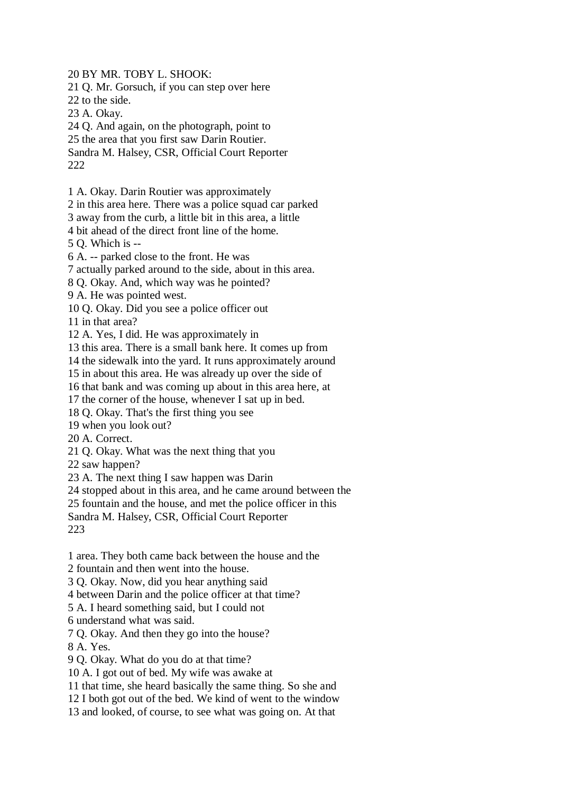20 BY MR. TOBY L. SHOOK:

21 Q. Mr. Gorsuch, if you can step over here

22 to the side.

23 A. Okay.

24 Q. And again, on the photograph, point to

25 the area that you first saw Darin Routier.

Sandra M. Halsey, CSR, Official Court Reporter 222

1 A. Okay. Darin Routier was approximately

2 in this area here. There was a police squad car parked

3 away from the curb, a little bit in this area, a little

4 bit ahead of the direct front line of the home.

5 Q. Which is --

6 A. -- parked close to the front. He was

7 actually parked around to the side, about in this area.

8 Q. Okay. And, which way was he pointed?

9 A. He was pointed west.

10 Q. Okay. Did you see a police officer out

11 in that area?

12 A. Yes, I did. He was approximately in

13 this area. There is a small bank here. It comes up from

14 the sidewalk into the yard. It runs approximately around

15 in about this area. He was already up over the side of

16 that bank and was coming up about in this area here, at

17 the corner of the house, whenever I sat up in bed.

18 Q. Okay. That's the first thing you see

19 when you look out?

20 A. Correct.

21 Q. Okay. What was the next thing that you

22 saw happen?

23 A. The next thing I saw happen was Darin

24 stopped about in this area, and he came around between the

25 fountain and the house, and met the police officer in this

Sandra M. Halsey, CSR, Official Court Reporter 223

1 area. They both came back between the house and the

2 fountain and then went into the house.

3 Q. Okay. Now, did you hear anything said

4 between Darin and the police officer at that time?

5 A. I heard something said, but I could not

6 understand what was said.

7 Q. Okay. And then they go into the house?

8 A. Yes.

9 Q. Okay. What do you do at that time?

10 A. I got out of bed. My wife was awake at

11 that time, she heard basically the same thing. So she and

12 I both got out of the bed. We kind of went to the window

13 and looked, of course, to see what was going on. At that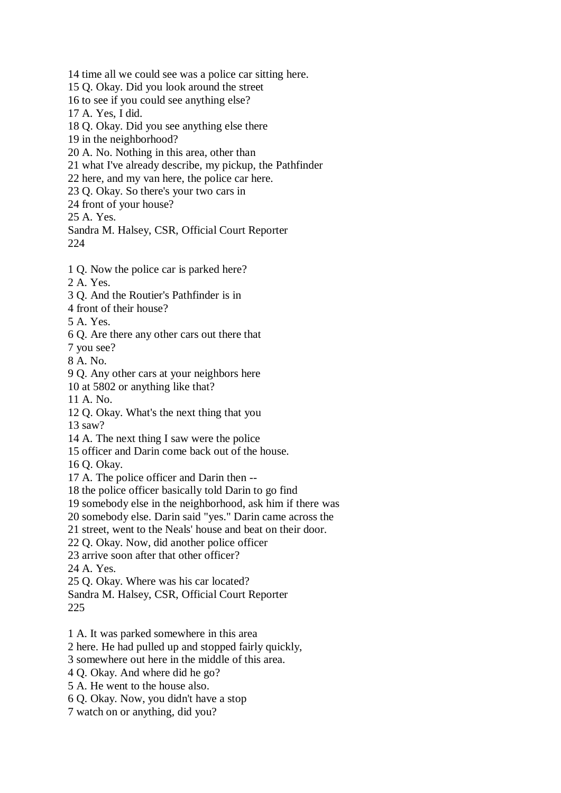14 time all we could see was a police car sitting here.

15 Q. Okay. Did you look around the street

16 to see if you could see anything else?

17 A. Yes, I did.

18 Q. Okay. Did you see anything else there

19 in the neighborhood?

20 A. No. Nothing in this area, other than

21 what I've already describe, my pickup, the Pathfinder

22 here, and my van here, the police car here.

23 Q. Okay. So there's your two cars in

24 front of your house?

25 A. Yes.

Sandra M. Halsey, CSR, Official Court Reporter 224

1 Q. Now the police car is parked here?

2 A. Yes.

- 3 Q. And the Routier's Pathfinder is in
- 4 front of their house?

5 A. Yes.

6 Q. Are there any other cars out there that

7 you see?

8 A. No.

9 Q. Any other cars at your neighbors here

10 at 5802 or anything like that?

11 A. No.

12 Q. Okay. What's the next thing that you

13 saw?

14 A. The next thing I saw were the police

15 officer and Darin come back out of the house.

16 Q. Okay.

17 A. The police officer and Darin then --

18 the police officer basically told Darin to go find

19 somebody else in the neighborhood, ask him if there was

20 somebody else. Darin said "yes." Darin came across the

21 street, went to the Neals' house and beat on their door.

22 Q. Okay. Now, did another police officer

23 arrive soon after that other officer?

24 A. Yes.

25 Q. Okay. Where was his car located?

Sandra M. Halsey, CSR, Official Court Reporter

225

1 A. It was parked somewhere in this area

2 here. He had pulled up and stopped fairly quickly,

3 somewhere out here in the middle of this area.

4 Q. Okay. And where did he go?

5 A. He went to the house also.

6 Q. Okay. Now, you didn't have a stop

7 watch on or anything, did you?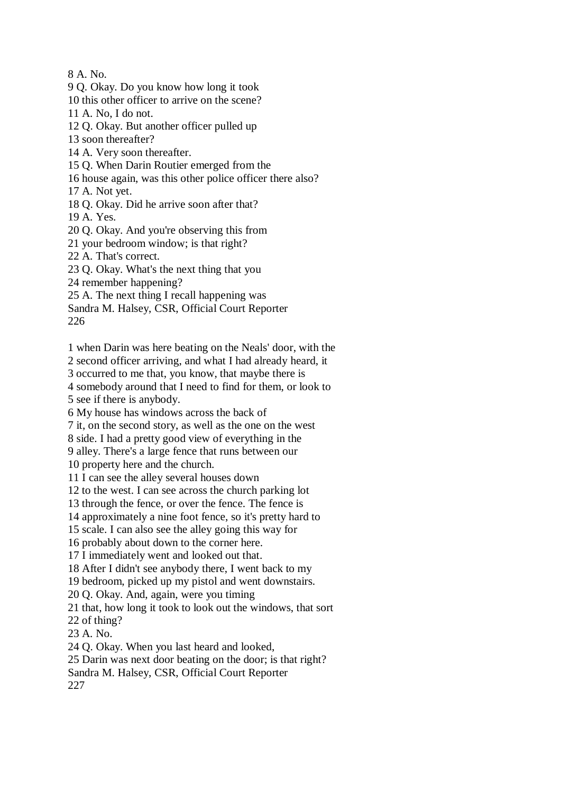8 A. No.

9 Q. Okay. Do you know how long it took

10 this other officer to arrive on the scene?

11 A. No, I do not.

12 Q. Okay. But another officer pulled up

13 soon thereafter?

14 A. Very soon thereafter.

15 Q. When Darin Routier emerged from the

16 house again, was this other police officer there also?

17 A. Not yet.

18 Q. Okay. Did he arrive soon after that?

19 A. Yes.

20 Q. Okay. And you're observing this from

21 your bedroom window; is that right?

22 A. That's correct.

23 Q. Okay. What's the next thing that you

24 remember happening?

25 A. The next thing I recall happening was

Sandra M. Halsey, CSR, Official Court Reporter

226

1 when Darin was here beating on the Neals' door, with the

2 second officer arriving, and what I had already heard, it

3 occurred to me that, you know, that maybe there is

4 somebody around that I need to find for them, or look to 5 see if there is anybody.

6 My house has windows across the back of

7 it, on the second story, as well as the one on the west

8 side. I had a pretty good view of everything in the

9 alley. There's a large fence that runs between our

10 property here and the church.

11 I can see the alley several houses down

12 to the west. I can see across the church parking lot

13 through the fence, or over the fence. The fence is

14 approximately a nine foot fence, so it's pretty hard to

15 scale. I can also see the alley going this way for

16 probably about down to the corner here.

17 I immediately went and looked out that.

18 After I didn't see anybody there, I went back to my

19 bedroom, picked up my pistol and went downstairs.

20 Q. Okay. And, again, were you timing

21 that, how long it took to look out the windows, that sort

22 of thing?

23 A. No.

24 Q. Okay. When you last heard and looked,

25 Darin was next door beating on the door; is that right?

Sandra M. Halsey, CSR, Official Court Reporter

227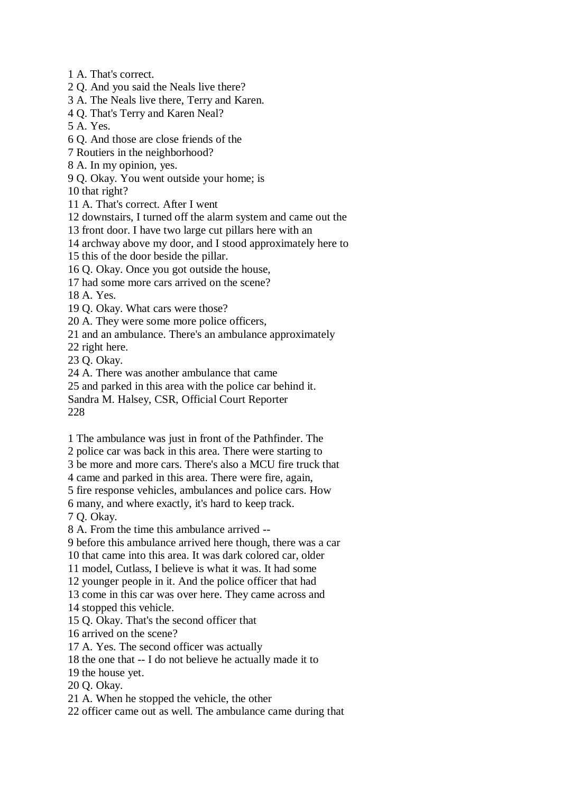1 A. That's correct.

2 Q. And you said the Neals live there?

3 A. The Neals live there, Terry and Karen.

4 Q. That's Terry and Karen Neal?

5 A. Yes.

6 Q. And those are close friends of the

7 Routiers in the neighborhood?

8 A. In my opinion, yes.

9 Q. Okay. You went outside your home; is

10 that right?

11 A. That's correct. After I went

12 downstairs, I turned off the alarm system and came out the

13 front door. I have two large cut pillars here with an

14 archway above my door, and I stood approximately here to

15 this of the door beside the pillar.

16 Q. Okay. Once you got outside the house,

17 had some more cars arrived on the scene?

18 A. Yes.

19 Q. Okay. What cars were those?

20 A. They were some more police officers,

21 and an ambulance. There's an ambulance approximately

22 right here.

23 Q. Okay.

24 A. There was another ambulance that came

25 and parked in this area with the police car behind it.

Sandra M. Halsey, CSR, Official Court Reporter

228

1 The ambulance was just in front of the Pathfinder. The

2 police car was back in this area. There were starting to

3 be more and more cars. There's also a MCU fire truck that

4 came and parked in this area. There were fire, again,

5 fire response vehicles, ambulances and police cars. How

6 many, and where exactly, it's hard to keep track.

7 Q. Okay.

8 A. From the time this ambulance arrived --

9 before this ambulance arrived here though, there was a car

10 that came into this area. It was dark colored car, older

11 model, Cutlass, I believe is what it was. It had some

12 younger people in it. And the police officer that had

13 come in this car was over here. They came across and

14 stopped this vehicle.

15 Q. Okay. That's the second officer that

16 arrived on the scene?

17 A. Yes. The second officer was actually

18 the one that -- I do not believe he actually made it to

19 the house yet.

20 Q. Okay.

21 A. When he stopped the vehicle, the other

22 officer came out as well. The ambulance came during that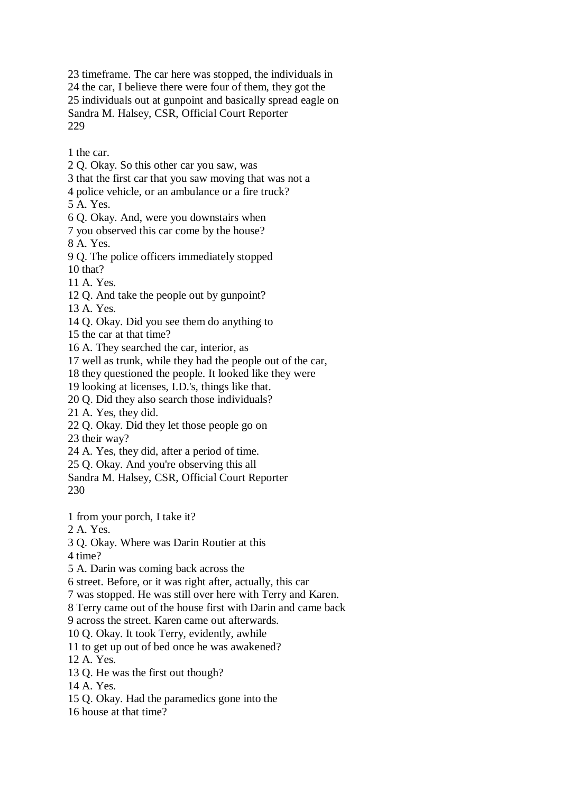23 timeframe. The car here was stopped, the individuals in 24 the car, I believe there were four of them, they got the 25 individuals out at gunpoint and basically spread eagle on Sandra M. Halsey, CSR, Official Court Reporter 229

1 the car.

2 Q. Okay. So this other car you saw, was

3 that the first car that you saw moving that was not a

4 police vehicle, or an ambulance or a fire truck?

5 A. Yes.

6 Q. Okay. And, were you downstairs when

7 you observed this car come by the house?

8 A. Yes.

9 Q. The police officers immediately stopped

10 that?

11 A. Yes.

12 Q. And take the people out by gunpoint?

13 A. Yes.

14 Q. Okay. Did you see them do anything to

15 the car at that time?

16 A. They searched the car, interior, as

17 well as trunk, while they had the people out of the car,

18 they questioned the people. It looked like they were

19 looking at licenses, I.D.'s, things like that.

20 Q. Did they also search those individuals?

21 A. Yes, they did.

22 Q. Okay. Did they let those people go on

23 their way?

24 A. Yes, they did, after a period of time.

25 Q. Okay. And you're observing this all

Sandra M. Halsey, CSR, Official Court Reporter 230

1 from your porch, I take it?

2 A. Yes.

3 Q. Okay. Where was Darin Routier at this

4 time?

5 A. Darin was coming back across the

6 street. Before, or it was right after, actually, this car

7 was stopped. He was still over here with Terry and Karen.

8 Terry came out of the house first with Darin and came back

9 across the street. Karen came out afterwards.

10 Q. Okay. It took Terry, evidently, awhile

11 to get up out of bed once he was awakened?

12 A. Yes.

13 Q. He was the first out though?

14 A. Yes.

15 Q. Okay. Had the paramedics gone into the

16 house at that time?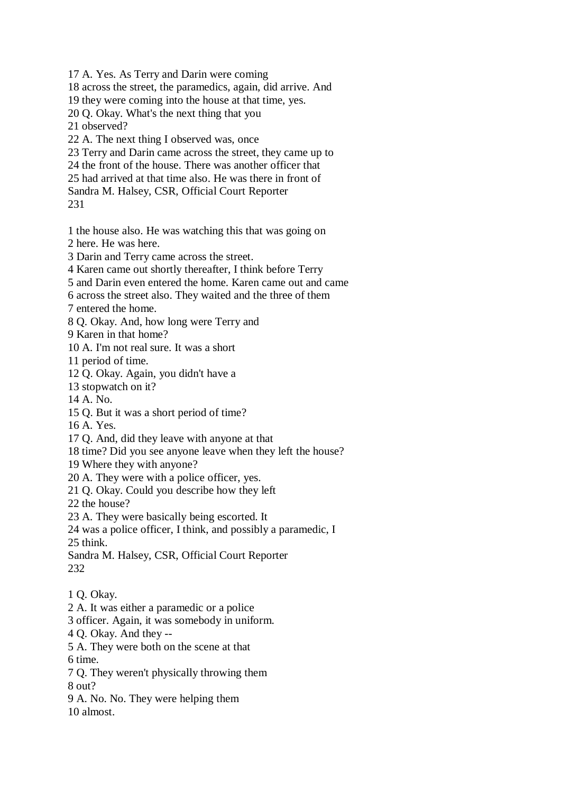17 A. Yes. As Terry and Darin were coming

18 across the street, the paramedics, again, did arrive. And

19 they were coming into the house at that time, yes.

20 Q. Okay. What's the next thing that you

21 observed?

22 A. The next thing I observed was, once

23 Terry and Darin came across the street, they came up to

24 the front of the house. There was another officer that

25 had arrived at that time also. He was there in front of

Sandra M. Halsey, CSR, Official Court Reporter

231

1 the house also. He was watching this that was going on 2 here. He was here.

3 Darin and Terry came across the street.

4 Karen came out shortly thereafter, I think before Terry

5 and Darin even entered the home. Karen came out and came

6 across the street also. They waited and the three of them

7 entered the home.

8 Q. Okay. And, how long were Terry and

9 Karen in that home?

10 A. I'm not real sure. It was a short

11 period of time.

12 Q. Okay. Again, you didn't have a

13 stopwatch on it?

14 A. No.

15 Q. But it was a short period of time?

16 A. Yes.

17 Q. And, did they leave with anyone at that

18 time? Did you see anyone leave when they left the house?

19 Where they with anyone?

20 A. They were with a police officer, yes.

21 Q. Okay. Could you describe how they left

22 the house?

23 A. They were basically being escorted. It

24 was a police officer, I think, and possibly a paramedic, I 25 think.

Sandra M. Halsey, CSR, Official Court Reporter 232

- 1 Q. Okay.
- 2 A. It was either a paramedic or a police
- 3 officer. Again, it was somebody in uniform.

4 Q. Okay. And they --

5 A. They were both on the scene at that

6 time.

7 Q. They weren't physically throwing them

8 out?

9 A. No. No. They were helping them 10 almost.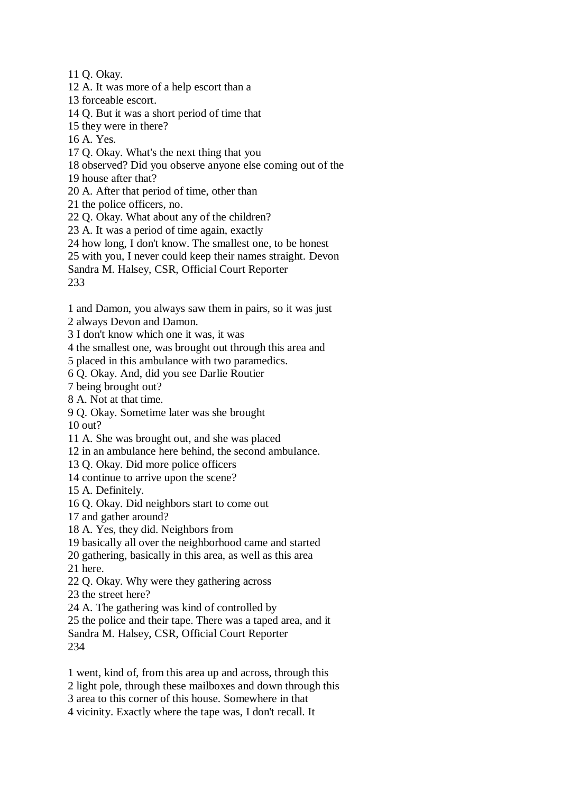11 Q. Okay.

12 A. It was more of a help escort than a

13 forceable escort.

14 Q. But it was a short period of time that

15 they were in there?

16 A. Yes.

17 Q. Okay. What's the next thing that you

18 observed? Did you observe anyone else coming out of the

19 house after that?

20 A. After that period of time, other than

21 the police officers, no.

22 Q. Okay. What about any of the children?

23 A. It was a period of time again, exactly

24 how long, I don't know. The smallest one, to be honest

25 with you, I never could keep their names straight. Devon

Sandra M. Halsey, CSR, Official Court Reporter

233

1 and Damon, you always saw them in pairs, so it was just

2 always Devon and Damon.

3 I don't know which one it was, it was

4 the smallest one, was brought out through this area and

5 placed in this ambulance with two paramedics.

6 Q. Okay. And, did you see Darlie Routier

7 being brought out?

8 A. Not at that time.

9 Q. Okay. Sometime later was she brought 10 out?

11 A. She was brought out, and she was placed

12 in an ambulance here behind, the second ambulance.

13 Q. Okay. Did more police officers

14 continue to arrive upon the scene?

15 A. Definitely.

16 Q. Okay. Did neighbors start to come out

17 and gather around?

18 A. Yes, they did. Neighbors from

19 basically all over the neighborhood came and started

20 gathering, basically in this area, as well as this area

21 here.

22 Q. Okay. Why were they gathering across

23 the street here?

24 A. The gathering was kind of controlled by

25 the police and their tape. There was a taped area, and it

Sandra M. Halsey, CSR, Official Court Reporter 234

1 went, kind of, from this area up and across, through this

2 light pole, through these mailboxes and down through this

3 area to this corner of this house. Somewhere in that

4 vicinity. Exactly where the tape was, I don't recall. It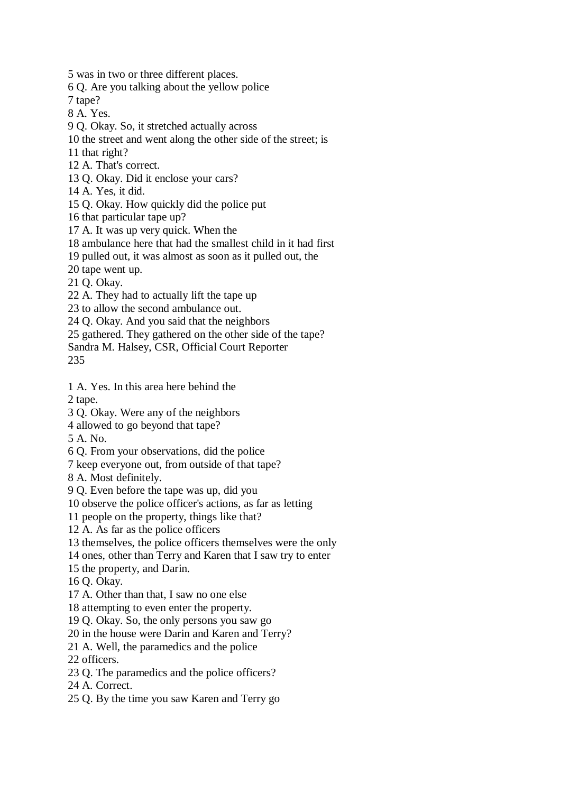5 was in two or three different places.

6 Q. Are you talking about the yellow police

7 tape?

8 A. Yes.

9 Q. Okay. So, it stretched actually across

10 the street and went along the other side of the street; is

11 that right?

12 A. That's correct.

13 Q. Okay. Did it enclose your cars?

14 A. Yes, it did.

15 Q. Okay. How quickly did the police put

16 that particular tape up?

17 A. It was up very quick. When the

18 ambulance here that had the smallest child in it had first

19 pulled out, it was almost as soon as it pulled out, the

20 tape went up.

21 Q. Okay.

22 A. They had to actually lift the tape up

23 to allow the second ambulance out.

24 Q. Okay. And you said that the neighbors

25 gathered. They gathered on the other side of the tape?

Sandra M. Halsey, CSR, Official Court Reporter

235

1 A. Yes. In this area here behind the

2 tape.

- 3 Q. Okay. Were any of the neighbors
- 4 allowed to go beyond that tape?

5 A. No.

6 Q. From your observations, did the police

7 keep everyone out, from outside of that tape?

8 A. Most definitely.

9 Q. Even before the tape was up, did you

10 observe the police officer's actions, as far as letting

11 people on the property, things like that?

12 A. As far as the police officers

13 themselves, the police officers themselves were the only

14 ones, other than Terry and Karen that I saw try to enter

15 the property, and Darin.

16 Q. Okay.

17 A. Other than that, I saw no one else

18 attempting to even enter the property.

19 Q. Okay. So, the only persons you saw go

20 in the house were Darin and Karen and Terry?

21 A. Well, the paramedics and the police

22 officers.

23 Q. The paramedics and the police officers?

24 A. Correct.

25 Q. By the time you saw Karen and Terry go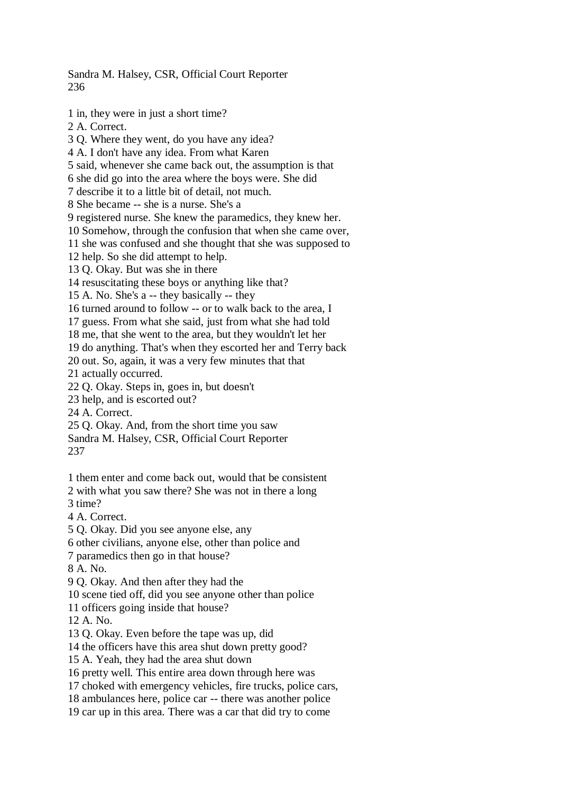Sandra M. Halsey, CSR, Official Court Reporter 236

1 in, they were in just a short time? 2 A. Correct. 3 Q. Where they went, do you have any idea? 4 A. I don't have any idea. From what Karen 5 said, whenever she came back out, the assumption is that 6 she did go into the area where the boys were. She did 7 describe it to a little bit of detail, not much. 8 She became -- she is a nurse. She's a 9 registered nurse. She knew the paramedics, they knew her. 10 Somehow, through the confusion that when she came over, 11 she was confused and she thought that she was supposed to 12 help. So she did attempt to help. 13 Q. Okay. But was she in there 14 resuscitating these boys or anything like that? 15 A. No. She's a -- they basically -- they 16 turned around to follow -- or to walk back to the area, I 17 guess. From what she said, just from what she had told 18 me, that she went to the area, but they wouldn't let her 19 do anything. That's when they escorted her and Terry back 20 out. So, again, it was a very few minutes that that 21 actually occurred. 22 Q. Okay. Steps in, goes in, but doesn't 23 help, and is escorted out? 24 A. Correct. 25 Q. Okay. And, from the short time you saw Sandra M. Halsey, CSR, Official Court Reporter 237 1 them enter and come back out, would that be consistent

2 with what you saw there? She was not in there a long

3 time?

4 A. Correct.

5 Q. Okay. Did you see anyone else, any

6 other civilians, anyone else, other than police and

7 paramedics then go in that house?

8 A. No.

9 Q. Okay. And then after they had the

10 scene tied off, did you see anyone other than police

11 officers going inside that house?

12 A. No.

13 Q. Okay. Even before the tape was up, did

14 the officers have this area shut down pretty good?

15 A. Yeah, they had the area shut down

16 pretty well. This entire area down through here was

17 choked with emergency vehicles, fire trucks, police cars,

18 ambulances here, police car -- there was another police

19 car up in this area. There was a car that did try to come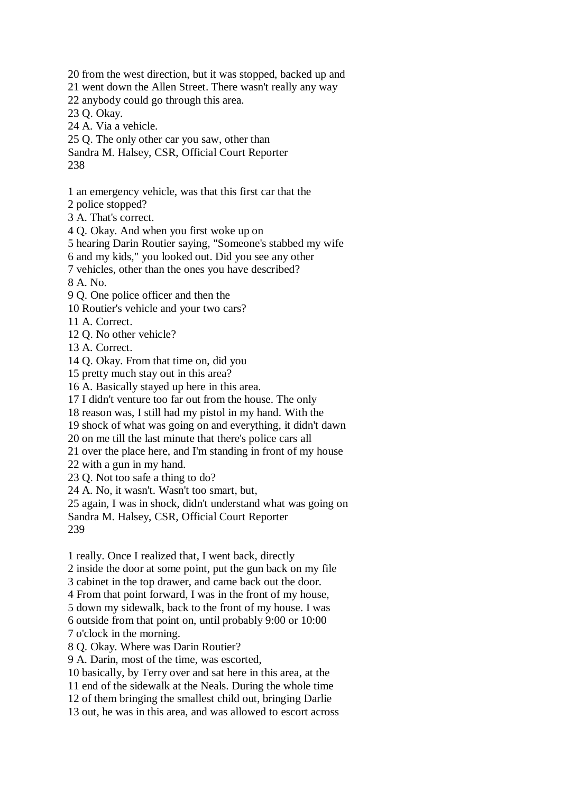20 from the west direction, but it was stopped, backed up and 21 went down the Allen Street. There wasn't really any way 22 anybody could go through this area. 23 Q. Okay. 24 A. Via a vehicle. 25 Q. The only other car you saw, other than Sandra M. Halsey, CSR, Official Court Reporter

238

1 an emergency vehicle, was that this first car that the

2 police stopped?

3 A. That's correct.

4 Q. Okay. And when you first woke up on

5 hearing Darin Routier saying, "Someone's stabbed my wife

6 and my kids," you looked out. Did you see any other

7 vehicles, other than the ones you have described?

8 A. No.

9 Q. One police officer and then the

10 Routier's vehicle and your two cars?

11 A. Correct.

12 Q. No other vehicle?

13 A. Correct.

14 Q. Okay. From that time on, did you

15 pretty much stay out in this area?

16 A. Basically stayed up here in this area.

17 I didn't venture too far out from the house. The only

18 reason was, I still had my pistol in my hand. With the

19 shock of what was going on and everything, it didn't dawn

20 on me till the last minute that there's police cars all

21 over the place here, and I'm standing in front of my house

22 with a gun in my hand.

23 Q. Not too safe a thing to do?

24 A. No, it wasn't. Wasn't too smart, but,

25 again, I was in shock, didn't understand what was going on

Sandra M. Halsey, CSR, Official Court Reporter

239

1 really. Once I realized that, I went back, directly

2 inside the door at some point, put the gun back on my file

3 cabinet in the top drawer, and came back out the door.

4 From that point forward, I was in the front of my house,

5 down my sidewalk, back to the front of my house. I was

6 outside from that point on, until probably 9:00 or 10:00

7 o'clock in the morning.

8 Q. Okay. Where was Darin Routier?

9 A. Darin, most of the time, was escorted,

10 basically, by Terry over and sat here in this area, at the

11 end of the sidewalk at the Neals. During the whole time

12 of them bringing the smallest child out, bringing Darlie

13 out, he was in this area, and was allowed to escort across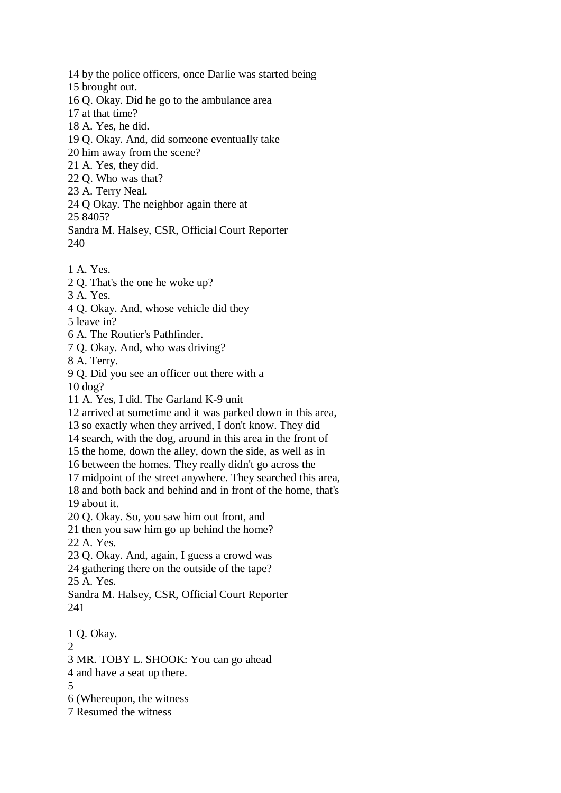- 14 by the police officers, once Darlie was started being
- 15 brought out.
- 16 Q. Okay. Did he go to the ambulance area
- 17 at that time?
- 18 A. Yes, he did.
- 19 Q. Okay. And, did someone eventually take
- 20 him away from the scene?
- 21 A. Yes, they did.
- 22 Q. Who was that?
- 23 A. Terry Neal.
- 24 Q Okay. The neighbor again there at

25 8405?

- Sandra M. Halsey, CSR, Official Court Reporter 240
- 1 A. Yes.
- 2 Q. That's the one he woke up?
- 3 A. Yes.
- 4 Q. Okay. And, whose vehicle did they
- 5 leave in?
- 6 A. The Routier's Pathfinder.
- 7 Q. Okay. And, who was driving?
- 8 A. Terry.
- 9 Q. Did you see an officer out there with a 10 dog?
- 11 A. Yes, I did. The Garland K-9 unit
- 12 arrived at sometime and it was parked down in this area,
- 13 so exactly when they arrived, I don't know. They did
- 14 search, with the dog, around in this area in the front of
- 15 the home, down the alley, down the side, as well as in
- 16 between the homes. They really didn't go across the
- 17 midpoint of the street anywhere. They searched this area,
- 18 and both back and behind and in front of the home, that's 19 about it.
- 20 Q. Okay. So, you saw him out front, and
- 21 then you saw him go up behind the home?
- 22 A. Yes.
- 23 Q. Okay. And, again, I guess a crowd was
- 24 gathering there on the outside of the tape?
- 25 A. Yes.
- Sandra M. Halsey, CSR, Official Court Reporter 241
- 1 Q. Okay.  $\mathcal{D}_{\mathcal{L}}$ 3 MR. TOBY L. SHOOK: You can go ahead 4 and have a seat up there. 5 6 (Whereupon, the witness 7 Resumed the witness
	-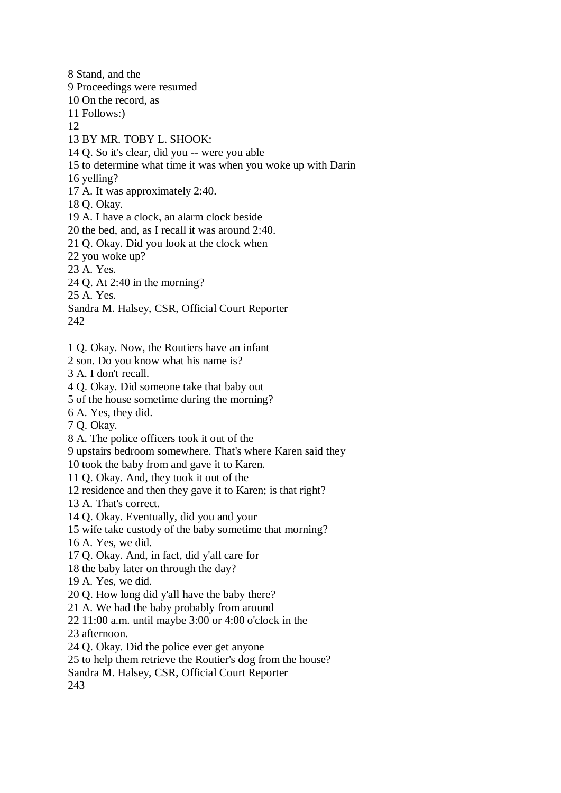8 Stand, and the 9 Proceedings were resumed 10 On the record, as 11 Follows:) 12 13 BY MR. TOBY L. SHOOK: 14 Q. So it's clear, did you -- were you able 15 to determine what time it was when you woke up with Darin 16 yelling? 17 A. It was approximately 2:40. 18 Q. Okay. 19 A. I have a clock, an alarm clock beside 20 the bed, and, as I recall it was around 2:40. 21 Q. Okay. Did you look at the clock when 22 you woke up? 23 A. Yes. 24 Q. At 2:40 in the morning? 25 A. Yes. Sandra M. Halsey, CSR, Official Court Reporter 242 1 Q. Okay. Now, the Routiers have an infant 2 son. Do you know what his name is? 3 A. I don't recall. 4 Q. Okay. Did someone take that baby out 5 of the house sometime during the morning? 6 A. Yes, they did. 7 Q. Okay. 8 A. The police officers took it out of the 9 upstairs bedroom somewhere. That's where Karen said they 10 took the baby from and gave it to Karen. 11 Q. Okay. And, they took it out of the 12 residence and then they gave it to Karen; is that right? 13 A. That's correct. 14 Q. Okay. Eventually, did you and your 15 wife take custody of the baby sometime that morning? 16 A. Yes, we did. 17 Q. Okay. And, in fact, did y'all care for 18 the baby later on through the day? 19 A. Yes, we did.

- 20 Q. How long did y'all have the baby there?
- 21 A. We had the baby probably from around
- 22 11:00 a.m. until maybe 3:00 or 4:00 o'clock in the
- 23 afternoon.
- 24 Q. Okay. Did the police ever get anyone
- 25 to help them retrieve the Routier's dog from the house?
- Sandra M. Halsey, CSR, Official Court Reporter

243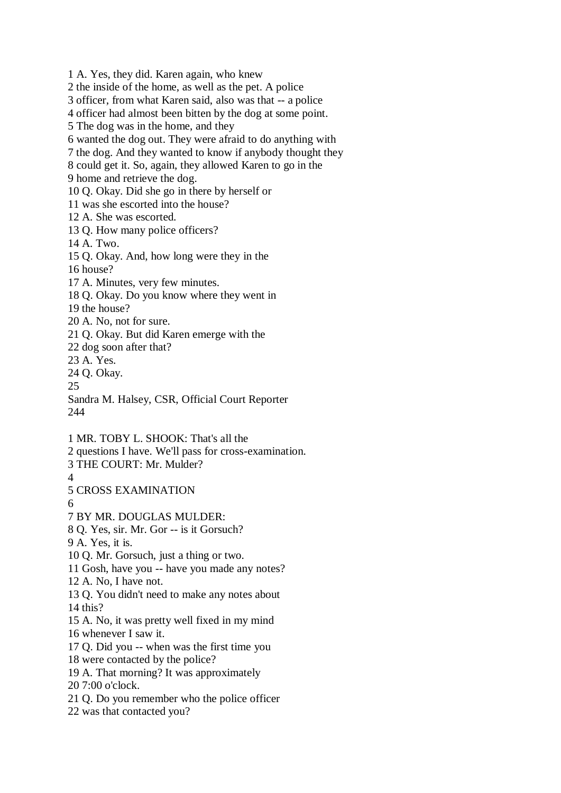1 A. Yes, they did. Karen again, who knew 2 the inside of the home, as well as the pet. A police 3 officer, from what Karen said, also was that -- a police 4 officer had almost been bitten by the dog at some point. 5 The dog was in the home, and they 6 wanted the dog out. They were afraid to do anything with 7 the dog. And they wanted to know if anybody thought they 8 could get it. So, again, they allowed Karen to go in the 9 home and retrieve the dog. 10 Q. Okay. Did she go in there by herself or 11 was she escorted into the house? 12 A. She was escorted. 13 Q. How many police officers? 14 A. Two. 15 Q. Okay. And, how long were they in the 16 house? 17 A. Minutes, very few minutes. 18 Q. Okay. Do you know where they went in 19 the house? 20 A. No, not for sure. 21 Q. Okay. But did Karen emerge with the 22 dog soon after that? 23 A. Yes. 24 Q. Okay. 25 Sandra M. Halsey, CSR, Official Court Reporter 244 1 MR. TOBY L. SHOOK: That's all the 2 questions I have. We'll pass for cross-examination. 3 THE COURT: Mr. Mulder? 4 5 CROSS EXAMINATION 6 7 BY MR. DOUGLAS MULDER: 8 Q. Yes, sir. Mr. Gor -- is it Gorsuch? 9 A. Yes, it is. 10 Q. Mr. Gorsuch, just a thing or two. 11 Gosh, have you -- have you made any notes? 12 A. No, I have not. 13 Q. You didn't need to make any notes about 14 this? 15 A. No, it was pretty well fixed in my mind 16 whenever I saw it. 17 Q. Did you -- when was the first time you 18 were contacted by the police? 19 A. That morning? It was approximately 20 7:00 o'clock. 21 Q. Do you remember who the police officer 22 was that contacted you?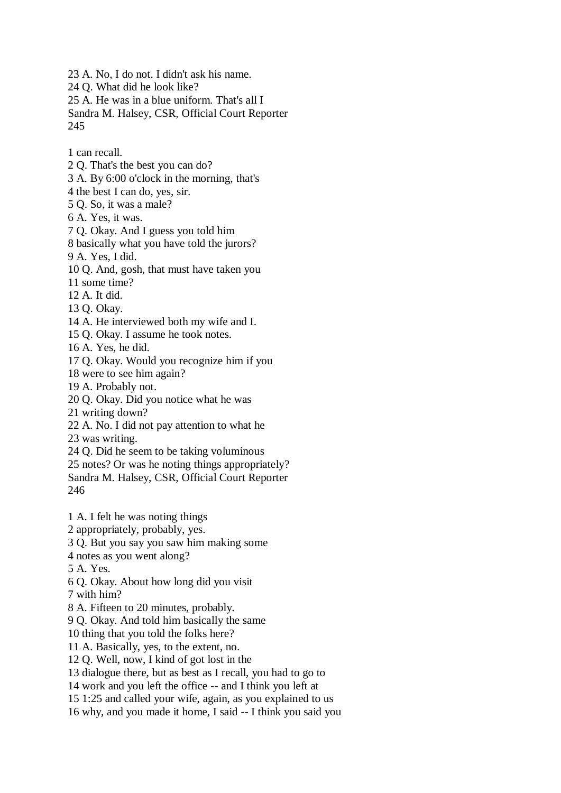23 A. No, I do not. I didn't ask his name.

24 Q. What did he look like?

25 A. He was in a blue uniform. That's all I

Sandra M. Halsey, CSR, Official Court Reporter 245

1 can recall.

2 Q. That's the best you can do?

3 A. By 6:00 o'clock in the morning, that's

4 the best I can do, yes, sir.

5 Q. So, it was a male?

6 A. Yes, it was.

7 Q. Okay. And I guess you told him

8 basically what you have told the jurors?

9 A. Yes, I did.

10 Q. And, gosh, that must have taken you

11 some time?

12 A. It did.

13 Q. Okay.

14 A. He interviewed both my wife and I.

15 Q. Okay. I assume he took notes.

16 A. Yes, he did.

17 Q. Okay. Would you recognize him if you

18 were to see him again?

19 A. Probably not.

20 Q. Okay. Did you notice what he was

21 writing down?

22 A. No. I did not pay attention to what he

23 was writing.

24 Q. Did he seem to be taking voluminous

25 notes? Or was he noting things appropriately? Sandra M. Halsey, CSR, Official Court Reporter 246

1 A. I felt he was noting things

2 appropriately, probably, yes.

3 Q. But you say you saw him making some

4 notes as you went along?

5 A. Yes.

6 Q. Okay. About how long did you visit

7 with him?

8 A. Fifteen to 20 minutes, probably.

9 Q. Okay. And told him basically the same

10 thing that you told the folks here?

11 A. Basically, yes, to the extent, no.

12 Q. Well, now, I kind of got lost in the

13 dialogue there, but as best as I recall, you had to go to

14 work and you left the office -- and I think you left at

15 1:25 and called your wife, again, as you explained to us

16 why, and you made it home, I said -- I think you said you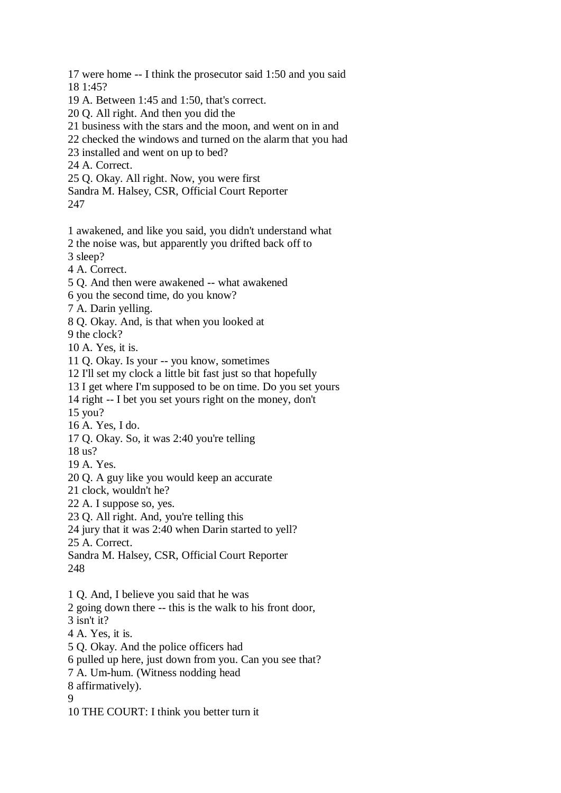17 were home -- I think the prosecutor said 1:50 and you said 18 1:45? 19 A. Between 1:45 and 1:50, that's correct. 20 Q. All right. And then you did the 21 business with the stars and the moon, and went on in and 22 checked the windows and turned on the alarm that you had 23 installed and went on up to bed? 24 A. Correct. 25 Q. Okay. All right. Now, you were first Sandra M. Halsey, CSR, Official Court Reporter 247 1 awakened, and like you said, you didn't understand what 2 the noise was, but apparently you drifted back off to 3 sleep? 4 A. Correct. 5 Q. And then were awakened -- what awakened 6 you the second time, do you know? 7 A. Darin yelling. 8 Q. Okay. And, is that when you looked at 9 the clock? 10 A. Yes, it is.

11 Q. Okay. Is your -- you know, sometimes

12 I'll set my clock a little bit fast just so that hopefully

13 I get where I'm supposed to be on time. Do you set yours

14 right -- I bet you set yours right on the money, don't

15 you?

16 A. Yes, I do.

17 Q. Okay. So, it was 2:40 you're telling

18 us?

19 A. Yes.

20 Q. A guy like you would keep an accurate

21 clock, wouldn't he?

22 A. I suppose so, yes.

23 Q. All right. And, you're telling this

24 jury that it was 2:40 when Darin started to yell?

25 A. Correct.

Sandra M. Halsey, CSR, Official Court Reporter 248

1 Q. And, I believe you said that he was

2 going down there -- this is the walk to his front door,

3 isn't it?

4 A. Yes, it is.

5 Q. Okay. And the police officers had

6 pulled up here, just down from you. Can you see that?

7 A. Um-hum. (Witness nodding head

8 affirmatively).

9

10 THE COURT: I think you better turn it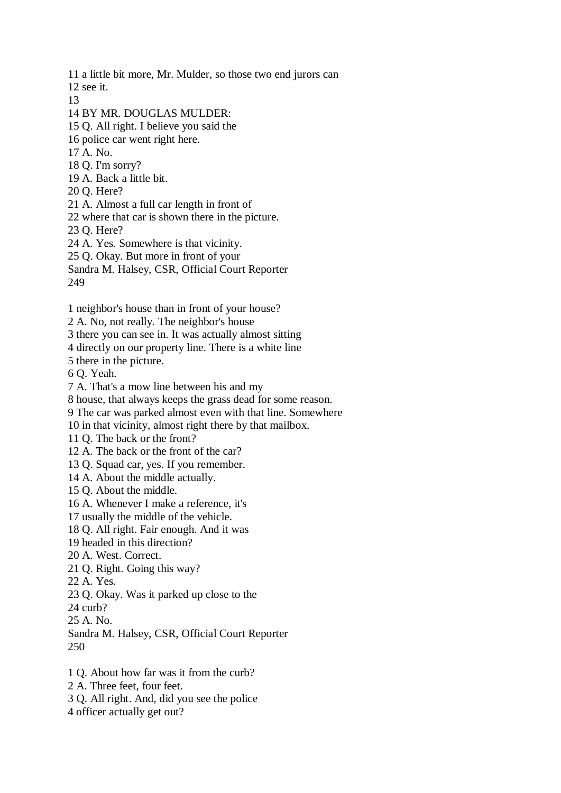11 a little bit more, Mr. Mulder, so those two end jurors can

12 see it.

13

14 BY MR. DOUGLAS MULDER:

15 Q. All right. I believe you said the

16 police car went right here.

17 A. No.

18 Q. I'm sorry?

19 A. Back a little bit.

20 Q. Here?

21 A. Almost a full car length in front of

22 where that car is shown there in the picture.

23 Q. Here?

24 A. Yes. Somewhere is that vicinity.

25 Q. Okay. But more in front of your

Sandra M. Halsey, CSR, Official Court Reporter 249

1 neighbor's house than in front of your house?

2 A. No, not really. The neighbor's house

3 there you can see in. It was actually almost sitting

4 directly on our property line. There is a white line

5 there in the picture.

6 Q. Yeah.

7 A. That's a mow line between his and my

8 house, that always keeps the grass dead for some reason.

9 The car was parked almost even with that line. Somewhere

10 in that vicinity, almost right there by that mailbox.

11 Q. The back or the front?

12 A. The back or the front of the car?

13 Q. Squad car, yes. If you remember.

14 A. About the middle actually.

15 Q. About the middle.

16 A. Whenever I make a reference, it's

17 usually the middle of the vehicle.

18 Q. All right. Fair enough. And it was

19 headed in this direction?

20 A. West. Correct.

21 Q. Right. Going this way?

22 A. Yes.

23 Q. Okay. Was it parked up close to the

24 curb?

25 A. No.

Sandra M. Halsey, CSR, Official Court Reporter 250

1 Q. About how far was it from the curb?

2 A. Three feet, four feet.

3 Q. All right. And, did you see the police

4 officer actually get out?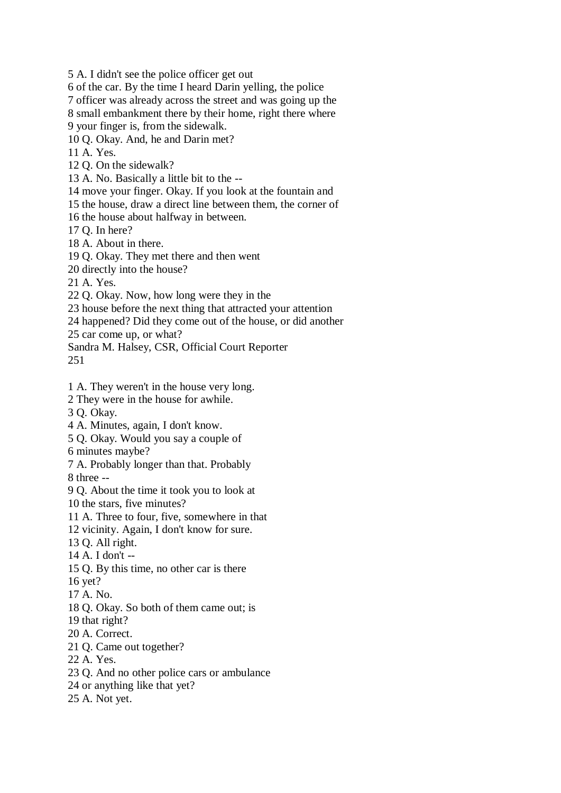5 A. I didn't see the police officer get out

6 of the car. By the time I heard Darin yelling, the police

7 officer was already across the street and was going up the

8 small embankment there by their home, right there where

9 your finger is, from the sidewalk.

10 Q. Okay. And, he and Darin met?

11 A. Yes.

12 Q. On the sidewalk?

13 A. No. Basically a little bit to the --

14 move your finger. Okay. If you look at the fountain and

15 the house, draw a direct line between them, the corner of

16 the house about halfway in between.

17 Q. In here?

18 A. About in there.

19 Q. Okay. They met there and then went

20 directly into the house?

21 A. Yes.

22 Q. Okay. Now, how long were they in the

23 house before the next thing that attracted your attention

24 happened? Did they come out of the house, or did another

25 car come up, or what?

Sandra M. Halsey, CSR, Official Court Reporter

251

1 A. They weren't in the house very long.

2 They were in the house for awhile.

3 Q. Okay.

4 A. Minutes, again, I don't know.

5 Q. Okay. Would you say a couple of

6 minutes maybe?

7 A. Probably longer than that. Probably

8 three --

9 Q. About the time it took you to look at

10 the stars, five minutes?

11 A. Three to four, five, somewhere in that

12 vicinity. Again, I don't know for sure.

13 Q. All right.

14 A. I don't --

15 Q. By this time, no other car is there

16 yet?

17 A. No.

18 Q. Okay. So both of them came out; is

19 that right?

20 A. Correct.

21 Q. Came out together?

22 A. Yes.

23 Q. And no other police cars or ambulance

24 or anything like that yet?

25 A. Not yet.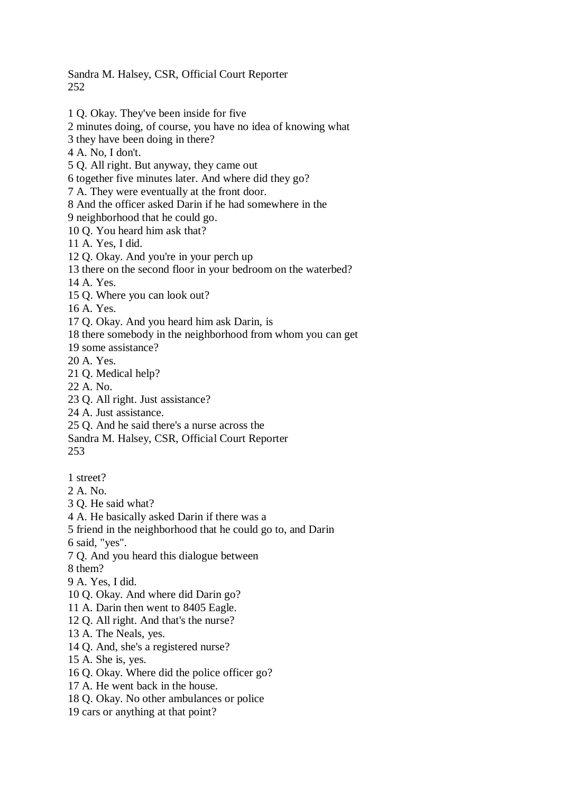Sandra M. Halsey, CSR, Official Court Reporter 252

1 Q. Okay. They've been inside for five 2 minutes doing, of course, you have no idea of knowing what 3 they have been doing in there? 4 A. No, I don't. 5 Q. All right. But anyway, they came out 6 together five minutes later. And where did they go? 7 A. They were eventually at the front door. 8 And the officer asked Darin if he had somewhere in the 9 neighborhood that he could go. 10 Q. You heard him ask that? 11 A. Yes, I did. 12 Q. Okay. And you're in your perch up 13 there on the second floor in your bedroom on the waterbed? 14 A. Yes. 15 Q. Where you can look out? 16 A. Yes. 17 Q. Okay. And you heard him ask Darin, is 18 there somebody in the neighborhood from whom you can get 19 some assistance? 20 A. Yes. 21 Q. Medical help? 22 A. No. 23 Q. All right. Just assistance? 24 A. Just assistance. 25 Q. And he said there's a nurse across the Sandra M. Halsey, CSR, Official Court Reporter 253 1 street? 2 A. No. 3 Q. He said what? 4 A. He basically asked Darin if there was a 5 friend in the neighborhood that he could go to, and Darin 6 said, "yes". 7 Q. And you heard this dialogue between 8 them? 9 A. Yes, I did. 10 Q. Okay. And where did Darin go?

- 11 A. Darin then went to 8405 Eagle.
- 12 Q. All right. And that's the nurse?
- 13 A. The Neals, yes.
- 14 Q. And, she's a registered nurse?
- 15 A. She is, yes.
- 16 Q. Okay. Where did the police officer go?
- 17 A. He went back in the house.
- 18 Q. Okay. No other ambulances or police
- 19 cars or anything at that point?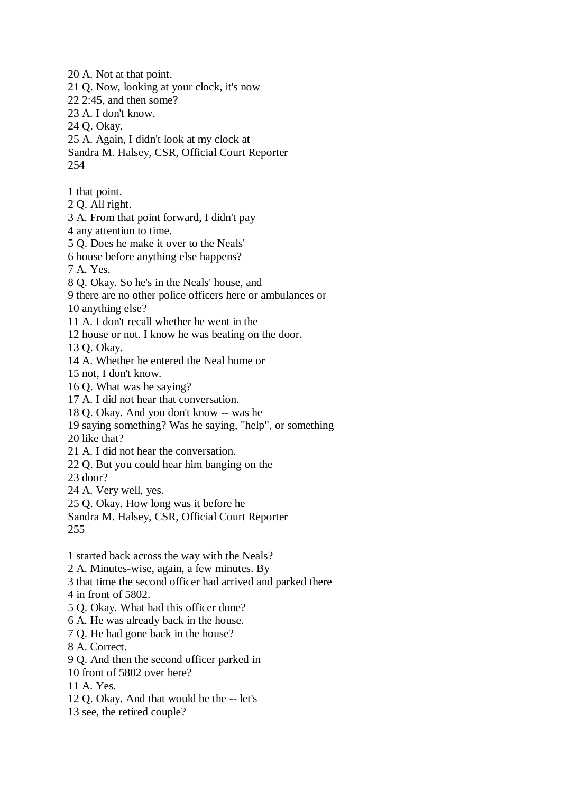21 Q. Now, looking at your clock, it's now 22 2:45, and then some? 23 A. I don't know. 24 Q. Okay. 25 A. Again, I didn't look at my clock at Sandra M. Halsey, CSR, Official Court Reporter 254 1 that point. 2 Q. All right. 3 A. From that point forward, I didn't pay 4 any attention to time. 5 Q. Does he make it over to the Neals' 6 house before anything else happens? 7 A. Yes. 8 Q. Okay. So he's in the Neals' house, and 9 there are no other police officers here or ambulances or 10 anything else? 11 A. I don't recall whether he went in the 12 house or not. I know he was beating on the door. 13 Q. Okay. 14 A. Whether he entered the Neal home or 15 not, I don't know. 16 Q. What was he saying? 17 A. I did not hear that conversation. 18 Q. Okay. And you don't know -- was he 19 saying something? Was he saying, "help", or something 20 like that? 21 A. I did not hear the conversation. 22 Q. But you could hear him banging on the 23 door? 24 A. Very well, yes. 25 Q. Okay. How long was it before he Sandra M. Halsey, CSR, Official Court Reporter 255 1 started back across the way with the Neals? 2 A. Minutes-wise, again, a few minutes. By 3 that time the second officer had arrived and parked there 4 in front of 5802. 5 Q. Okay. What had this officer done? 6 A. He was already back in the house. 7 Q. He had gone back in the house? 8 A. Correct. 9 Q. And then the second officer parked in

20 A. Not at that point.

10 front of 5802 over here?

11 A. Yes.

12 Q. Okay. And that would be the -- let's

13 see, the retired couple?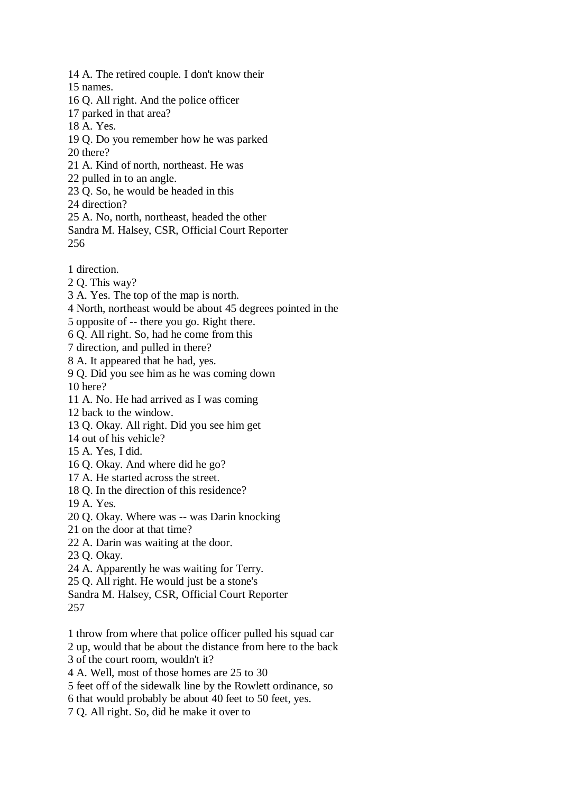14 A. The retired couple. I don't know their 15 names. 16 Q. All right. And the police officer 17 parked in that area? 18 A. Yes. 19 Q. Do you remember how he was parked 20 there? 21 A. Kind of north, northeast. He was 22 pulled in to an angle. 23 Q. So, he would be headed in this 24 direction? 25 A. No, north, northeast, headed the other Sandra M. Halsey, CSR, Official Court Reporter 256 1 direction. 2 Q. This way? 3 A. Yes. The top of the map is north. 4 North, northeast would be about 45 degrees pointed in the

5 opposite of -- there you go. Right there.

6 Q. All right. So, had he come from this

7 direction, and pulled in there?

8 A. It appeared that he had, yes.

9 Q. Did you see him as he was coming down 10 here?

11 A. No. He had arrived as I was coming

12 back to the window.

13 Q. Okay. All right. Did you see him get

14 out of his vehicle?

15 A. Yes, I did.

16 Q. Okay. And where did he go?

17 A. He started across the street.

18 Q. In the direction of this residence?

19 A. Yes.

20 Q. Okay. Where was -- was Darin knocking

21 on the door at that time?

22 A. Darin was waiting at the door.

23 Q. Okay.

24 A. Apparently he was waiting for Terry.

25 Q. All right. He would just be a stone's

Sandra M. Halsey, CSR, Official Court Reporter

257

1 throw from where that police officer pulled his squad car

2 up, would that be about the distance from here to the back

3 of the court room, wouldn't it?

4 A. Well, most of those homes are 25 to 30

5 feet off of the sidewalk line by the Rowlett ordinance, so

6 that would probably be about 40 feet to 50 feet, yes.

7 Q. All right. So, did he make it over to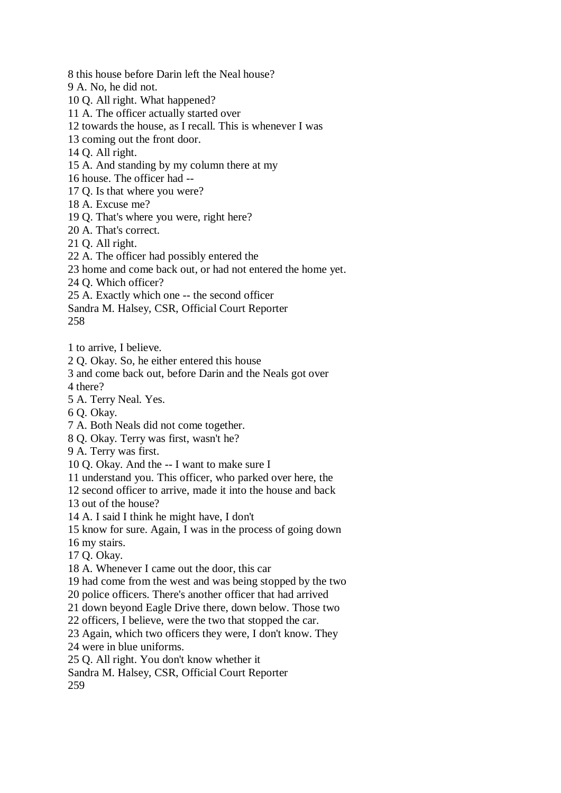8 this house before Darin left the Neal house?

9 A. No, he did not.

10 Q. All right. What happened?

11 A. The officer actually started over

12 towards the house, as I recall. This is whenever I was

13 coming out the front door.

14 Q. All right.

15 A. And standing by my column there at my

16 house. The officer had --

17 Q. Is that where you were?

18 A. Excuse me?

19 Q. That's where you were, right here?

20 A. That's correct.

21 Q. All right.

22 A. The officer had possibly entered the

23 home and come back out, or had not entered the home yet.

24 Q. Which officer?

25 A. Exactly which one -- the second officer

Sandra M. Halsey, CSR, Official Court Reporter

258

1 to arrive, I believe.

2 Q. Okay. So, he either entered this house

3 and come back out, before Darin and the Neals got over

4 there?

5 A. Terry Neal. Yes.

6 Q. Okay.

7 A. Both Neals did not come together.

8 Q. Okay. Terry was first, wasn't he?

9 A. Terry was first.

10 Q. Okay. And the -- I want to make sure I

11 understand you. This officer, who parked over here, the

12 second officer to arrive, made it into the house and back

13 out of the house?

14 A. I said I think he might have, I don't

15 know for sure. Again, I was in the process of going down

16 my stairs.

17 Q. Okay.

18 A. Whenever I came out the door, this car

19 had come from the west and was being stopped by the two

20 police officers. There's another officer that had arrived

21 down beyond Eagle Drive there, down below. Those two

22 officers, I believe, were the two that stopped the car.

23 Again, which two officers they were, I don't know. They

24 were in blue uniforms.

25 Q. All right. You don't know whether it

Sandra M. Halsey, CSR, Official Court Reporter

259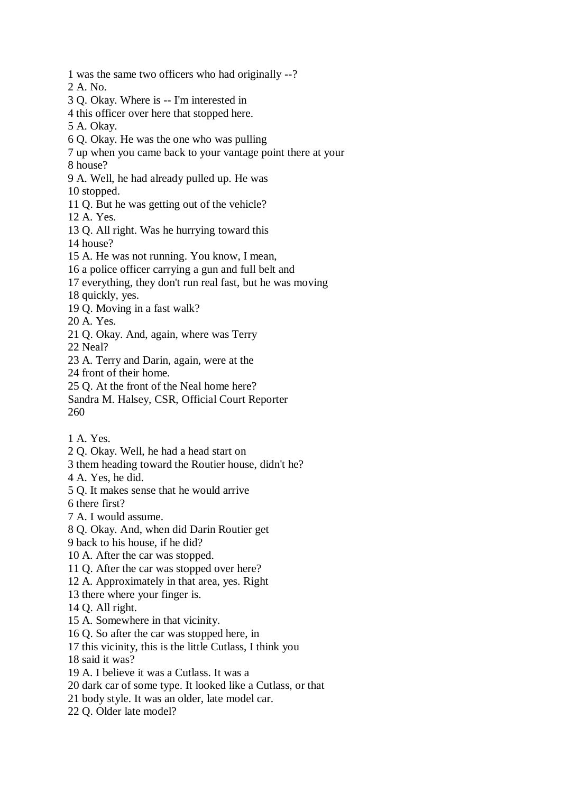1 was the same two officers who had originally --? 2 A. No. 3 Q. Okay. Where is -- I'm interested in 4 this officer over here that stopped here. 5 A. Okay. 6 Q. Okay. He was the one who was pulling 7 up when you came back to your vantage point there at your 8 house? 9 A. Well, he had already pulled up. He was 10 stopped. 11 Q. But he was getting out of the vehicle? 12 A. Yes. 13 Q. All right. Was he hurrying toward this 14 house? 15 A. He was not running. You know, I mean, 16 a police officer carrying a gun and full belt and 17 everything, they don't run real fast, but he was moving 18 quickly, yes. 19 Q. Moving in a fast walk? 20 A. Yes. 21 Q. Okay. And, again, where was Terry 22 Neal? 23 A. Terry and Darin, again, were at the 24 front of their home. 25 Q. At the front of the Neal home here? Sandra M. Halsey, CSR, Official Court Reporter 260 1 A. Yes.

- 2 Q. Okay. Well, he had a head start on
- 3 them heading toward the Routier house, didn't he?
- 4 A. Yes, he did.
- 5 Q. It makes sense that he would arrive

6 there first?

7 A. I would assume.

8 Q. Okay. And, when did Darin Routier get

9 back to his house, if he did?

- 10 A. After the car was stopped.
- 11 Q. After the car was stopped over here?
- 12 A. Approximately in that area, yes. Right
- 13 there where your finger is.
- 14 Q. All right.
- 15 A. Somewhere in that vicinity.
- 16 Q. So after the car was stopped here, in
- 17 this vicinity, this is the little Cutlass, I think you
- 18 said it was?
- 19 A. I believe it was a Cutlass. It was a
- 20 dark car of some type. It looked like a Cutlass, or that
- 21 body style. It was an older, late model car.
- 22 Q. Older late model?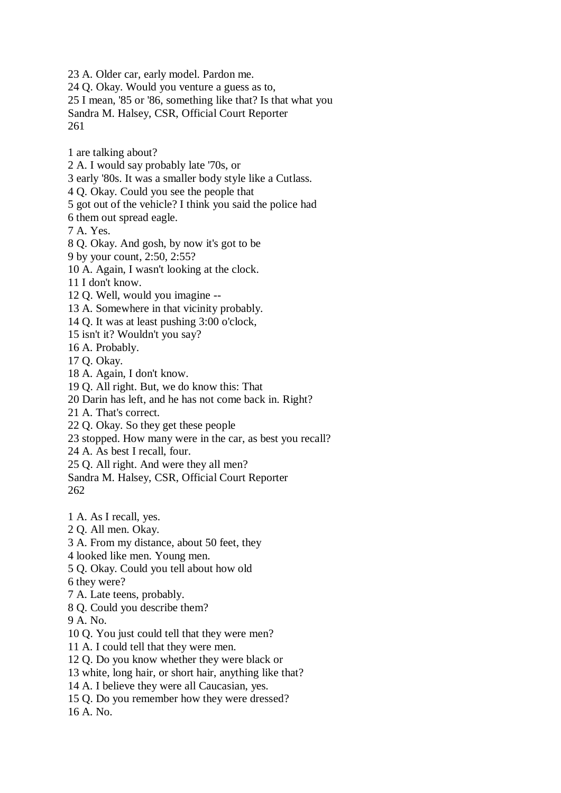23 A. Older car, early model. Pardon me.

24 Q. Okay. Would you venture a guess as to,

25 I mean, '85 or '86, something like that? Is that what you

Sandra M. Halsey, CSR, Official Court Reporter 261

1 are talking about?

2 A. I would say probably late '70s, or

3 early '80s. It was a smaller body style like a Cutlass.

4 Q. Okay. Could you see the people that

5 got out of the vehicle? I think you said the police had

6 them out spread eagle.

7 A. Yes.

8 Q. Okay. And gosh, by now it's got to be

9 by your count, 2:50, 2:55?

10 A. Again, I wasn't looking at the clock.

11 I don't know.

12 Q. Well, would you imagine --

13 A. Somewhere in that vicinity probably.

14 Q. It was at least pushing 3:00 o'clock,

15 isn't it? Wouldn't you say?

16 A. Probably.

17 Q. Okay.

18 A. Again, I don't know.

19 Q. All right. But, we do know this: That

20 Darin has left, and he has not come back in. Right?

21 A. That's correct.

22 Q. Okay. So they get these people

23 stopped. How many were in the car, as best you recall?

24 A. As best I recall, four.

25 Q. All right. And were they all men?

Sandra M. Halsey, CSR, Official Court Reporter 262

1 A. As I recall, yes.

2 Q. All men. Okay.

3 A. From my distance, about 50 feet, they

4 looked like men. Young men.

5 Q. Okay. Could you tell about how old

6 they were?

7 A. Late teens, probably.

8 Q. Could you describe them?

9 A. No.

10 Q. You just could tell that they were men?

11 A. I could tell that they were men.

12 Q. Do you know whether they were black or

13 white, long hair, or short hair, anything like that?

14 A. I believe they were all Caucasian, yes.

15 Q. Do you remember how they were dressed?

16 A. No.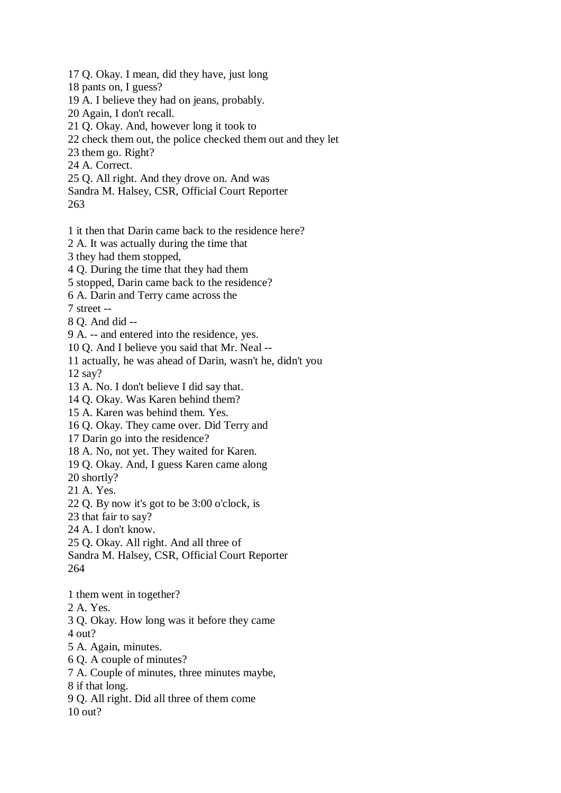17 Q. Okay. I mean, did they have, just long

- 18 pants on, I guess?
- 19 A. I believe they had on jeans, probably.
- 20 Again, I don't recall.
- 21 Q. Okay. And, however long it took to
- 22 check them out, the police checked them out and they let
- 23 them go. Right?
- 24 A. Correct.
- 25 Q. All right. And they drove on. And was
- Sandra M. Halsey, CSR, Official Court Reporter
- 263
- 1 it then that Darin came back to the residence here?
- 2 A. It was actually during the time that
- 3 they had them stopped,
- 4 Q. During the time that they had them
- 5 stopped, Darin came back to the residence?
- 6 A. Darin and Terry came across the
- 7 street --
- 8 Q. And did --
- 9 A. -- and entered into the residence, yes.
- 10 Q. And I believe you said that Mr. Neal --
- 11 actually, he was ahead of Darin, wasn't he, didn't you 12 say?
- 13 A. No. I don't believe I did say that.
- 14 Q. Okay. Was Karen behind them?
- 15 A. Karen was behind them. Yes.
- 16 Q. Okay. They came over. Did Terry and
- 17 Darin go into the residence?
- 18 A. No, not yet. They waited for Karen.
- 19 Q. Okay. And, I guess Karen came along
- 20 shortly?
- 21 A. Yes.
- 22 Q. By now it's got to be 3:00 o'clock, is
- 23 that fair to say?
- 24 A. I don't know.
- 25 Q. Okay. All right. And all three of
- Sandra M. Halsey, CSR, Official Court Reporter 264
- 1 them went in together?
- 2 A. Yes.
- 3 Q. Okay. How long was it before they came
- 4 out?
- 5 A. Again, minutes.
- 6 Q. A couple of minutes?
- 7 A. Couple of minutes, three minutes maybe,
- 8 if that long.
- 9 Q. All right. Did all three of them come
- 10 out?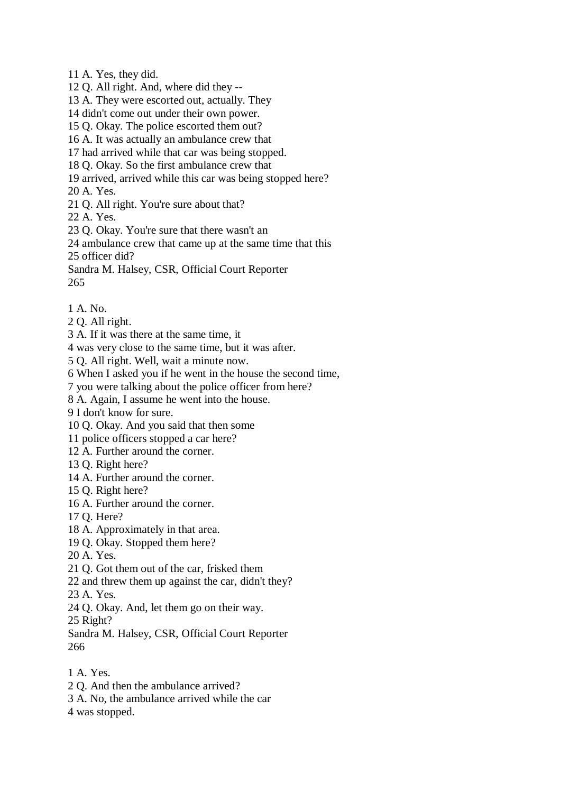11 A. Yes, they did.

12 Q. All right. And, where did they --

13 A. They were escorted out, actually. They

- 14 didn't come out under their own power.
- 15 Q. Okay. The police escorted them out?
- 16 A. It was actually an ambulance crew that

17 had arrived while that car was being stopped.

18 Q. Okay. So the first ambulance crew that

19 arrived, arrived while this car was being stopped here?

20 A. Yes.

21 Q. All right. You're sure about that?

22 A. Yes.

23 Q. Okay. You're sure that there wasn't an

24 ambulance crew that came up at the same time that this

25 officer did?

Sandra M. Halsey, CSR, Official Court Reporter 265

- 
- 1 A. No.
- 2 Q. All right.

3 A. If it was there at the same time, it

4 was very close to the same time, but it was after.

5 Q. All right. Well, wait a minute now.

6 When I asked you if he went in the house the second time,

7 you were talking about the police officer from here?

8 A. Again, I assume he went into the house.

9 I don't know for sure.

10 Q. Okay. And you said that then some

11 police officers stopped a car here?

12 A. Further around the corner.

- 13 Q. Right here?
- 14 A. Further around the corner.
- 15 Q. Right here?
- 16 A. Further around the corner.
- 17 Q. Here?
- 18 A. Approximately in that area.
- 19 Q. Okay. Stopped them here?
- 20 A. Yes.
- 21 Q. Got them out of the car, frisked them
- 22 and threw them up against the car, didn't they?
- 23 A. Yes.
- 24 Q. Okay. And, let them go on their way.

25 Right?

Sandra M. Halsey, CSR, Official Court Reporter 266

- 1 A. Yes.
- 2 Q. And then the ambulance arrived?
- 3 A. No, the ambulance arrived while the car
- 4 was stopped.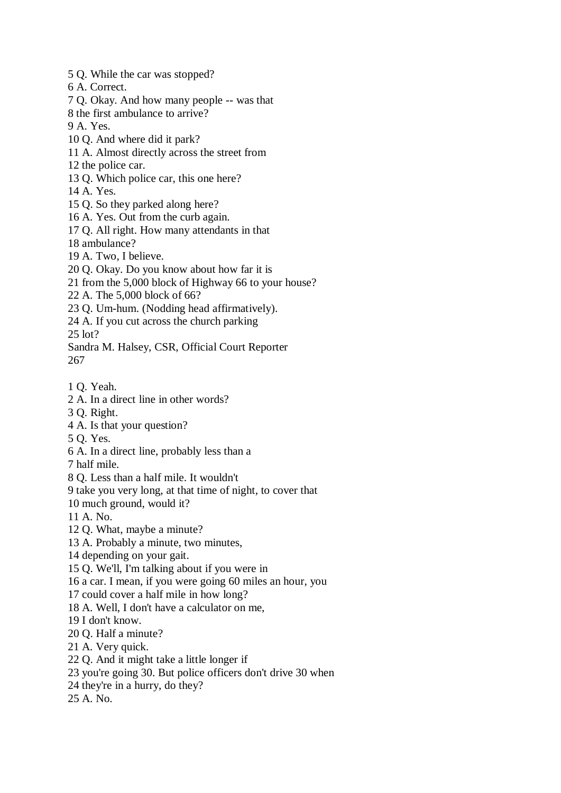5 Q. While the car was stopped?

6 A. Correct.

7 Q. Okay. And how many people -- was that

8 the first ambulance to arrive?

9 A. Yes.

- 10 Q. And where did it park?
- 11 A. Almost directly across the street from
- 12 the police car.
- 13 Q. Which police car, this one here?
- 14 A. Yes.
- 15 Q. So they parked along here?
- 16 A. Yes. Out from the curb again.
- 17 Q. All right. How many attendants in that
- 18 ambulance?
- 19 A. Two, I believe.
- 20 Q. Okay. Do you know about how far it is
- 21 from the 5,000 block of Highway 66 to your house?
- 22 A. The 5,000 block of 66?
- 23 Q. Um-hum. (Nodding head affirmatively).
- 24 A. If you cut across the church parking

25 lot?

- Sandra M. Halsey, CSR, Official Court Reporter
- 267
- 1 Q. Yeah.
- 2 A. In a direct line in other words?
- 3 Q. Right.
- 4 A. Is that your question?
- 5 Q. Yes.
- 6 A. In a direct line, probably less than a
- 7 half mile.
- 8 Q. Less than a half mile. It wouldn't
- 9 take you very long, at that time of night, to cover that
- 10 much ground, would it?
- 11 A. No.
- 12 Q. What, maybe a minute?
- 13 A. Probably a minute, two minutes,
- 14 depending on your gait.
- 15 Q. We'll, I'm talking about if you were in
- 16 a car. I mean, if you were going 60 miles an hour, you
- 17 could cover a half mile in how long?
- 18 A. Well, I don't have a calculator on me,
- 19 I don't know.
- 20 Q. Half a minute?
- 21 A. Very quick.
- 22 Q. And it might take a little longer if
- 23 you're going 30. But police officers don't drive 30 when
- 24 they're in a hurry, do they?
- 25 A. No.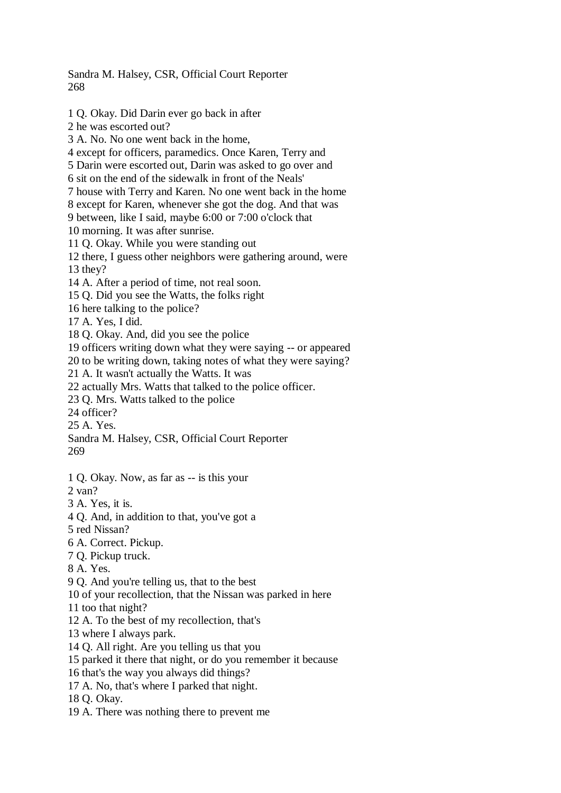Sandra M. Halsey, CSR, Official Court Reporter 268

1 Q. Okay. Did Darin ever go back in after 2 he was escorted out? 3 A. No. No one went back in the home, 4 except for officers, paramedics. Once Karen, Terry and 5 Darin were escorted out, Darin was asked to go over and 6 sit on the end of the sidewalk in front of the Neals' 7 house with Terry and Karen. No one went back in the home 8 except for Karen, whenever she got the dog. And that was 9 between, like I said, maybe 6:00 or 7:00 o'clock that 10 morning. It was after sunrise. 11 Q. Okay. While you were standing out 12 there, I guess other neighbors were gathering around, were 13 they? 14 A. After a period of time, not real soon. 15 Q. Did you see the Watts, the folks right 16 here talking to the police? 17 A. Yes, I did. 18 Q. Okay. And, did you see the police 19 officers writing down what they were saying -- or appeared 20 to be writing down, taking notes of what they were saying? 21 A. It wasn't actually the Watts. It was 22 actually Mrs. Watts that talked to the police officer. 23 Q. Mrs. Watts talked to the police 24 officer? 25 A. Yes. Sandra M. Halsey, CSR, Official Court Reporter 269 1 Q. Okay. Now, as far as -- is this your 2 van? 3 A. Yes, it is. 4 Q. And, in addition to that, you've got a 5 red Nissan? 6 A. Correct. Pickup. 7 Q. Pickup truck. 8 A. Yes. 9 Q. And you're telling us, that to the best 10 of your recollection, that the Nissan was parked in here 11 too that night? 12 A. To the best of my recollection, that's 13 where I always park. 14 Q. All right. Are you telling us that you 15 parked it there that night, or do you remember it because 16 that's the way you always did things? 17 A. No, that's where I parked that night. 18 Q. Okay.

19 A. There was nothing there to prevent me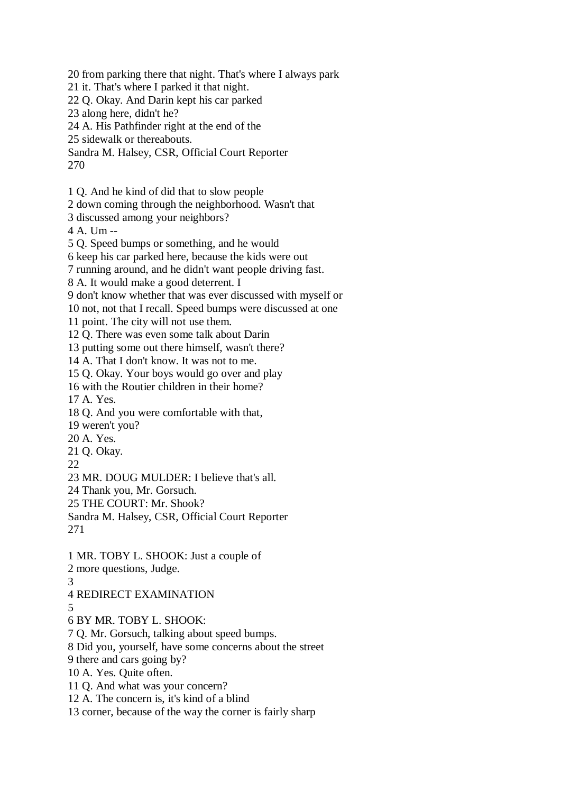20 from parking there that night. That's where I always park

- 21 it. That's where I parked it that night.
- 22 Q. Okay. And Darin kept his car parked
- 23 along here, didn't he?
- 24 A. His Pathfinder right at the end of the
- 25 sidewalk or thereabouts.
- Sandra M. Halsey, CSR, Official Court Reporter 270
- 1 Q. And he kind of did that to slow people
- 2 down coming through the neighborhood. Wasn't that
- 3 discussed among your neighbors?
- 4 A. Um --
- 5 Q. Speed bumps or something, and he would
- 6 keep his car parked here, because the kids were out
- 7 running around, and he didn't want people driving fast.
- 8 A. It would make a good deterrent. I
- 9 don't know whether that was ever discussed with myself or
- 10 not, not that I recall. Speed bumps were discussed at one
- 11 point. The city will not use them.
- 12 Q. There was even some talk about Darin
- 13 putting some out there himself, wasn't there?
- 14 A. That I don't know. It was not to me.
- 15 Q. Okay. Your boys would go over and play
- 16 with the Routier children in their home?
- 17 A. Yes.
- 18 Q. And you were comfortable with that,
- 19 weren't you?
- 20 A. Yes.
- 21 Q. Okay.
- 22
- 23 MR. DOUG MULDER: I believe that's all.
- 24 Thank you, Mr. Gorsuch.
- 25 THE COURT: Mr. Shook?
- Sandra M. Halsey, CSR, Official Court Reporter 271
- 1 MR. TOBY L. SHOOK: Just a couple of
- 2 more questions, Judge.
- 3
- 4 REDIRECT EXAMINATION
- 5
- 6 BY MR. TOBY L. SHOOK:
- 7 Q. Mr. Gorsuch, talking about speed bumps.
- 8 Did you, yourself, have some concerns about the street
- 9 there and cars going by?
- 10 A. Yes. Quite often.
- 11 Q. And what was your concern?
- 12 A. The concern is, it's kind of a blind
- 13 corner, because of the way the corner is fairly sharp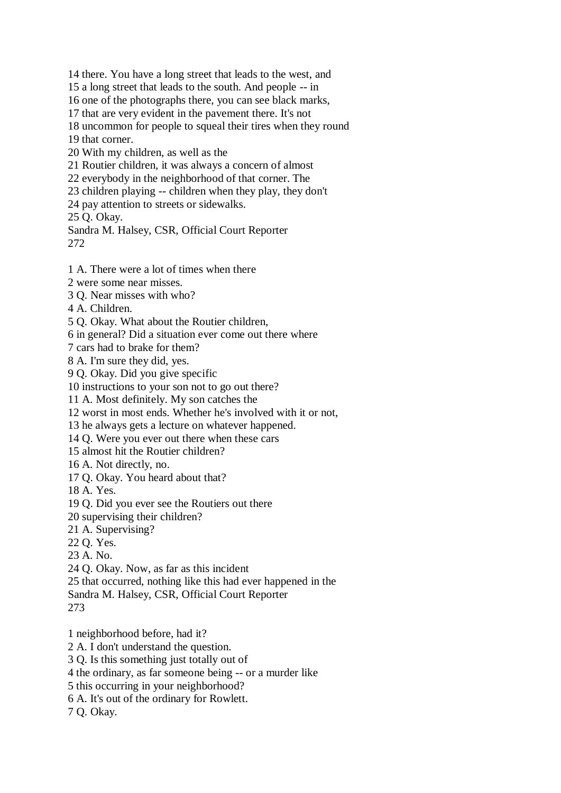14 there. You have a long street that leads to the west, and 15 a long street that leads to the south. And people -- in 16 one of the photographs there, you can see black marks, 17 that are very evident in the pavement there. It's not 18 uncommon for people to squeal their tires when they round 19 that corner. 20 With my children, as well as the 21 Routier children, it was always a concern of almost 22 everybody in the neighborhood of that corner. The 23 children playing -- children when they play, they don't 24 pay attention to streets or sidewalks. 25 Q. Okay. Sandra M. Halsey, CSR, Official Court Reporter 272 1 A. There were a lot of times when there

2 were some near misses.

3 Q. Near misses with who?

4 A. Children.

5 Q. Okay. What about the Routier children,

6 in general? Did a situation ever come out there where

7 cars had to brake for them?

8 A. I'm sure they did, yes.

9 Q. Okay. Did you give specific

10 instructions to your son not to go out there?

11 A. Most definitely. My son catches the

12 worst in most ends. Whether he's involved with it or not,

13 he always gets a lecture on whatever happened.

14 Q. Were you ever out there when these cars

15 almost hit the Routier children?

16 A. Not directly, no.

17 Q. Okay. You heard about that?

18 A. Yes.

19 Q. Did you ever see the Routiers out there

20 supervising their children?

21 A. Supervising?

22 Q. Yes.

23 A. No.

24 Q. Okay. Now, as far as this incident

25 that occurred, nothing like this had ever happened in the

Sandra M. Halsey, CSR, Official Court Reporter

273

1 neighborhood before, had it?

2 A. I don't understand the question.

3 Q. Is this something just totally out of

4 the ordinary, as far someone being -- or a murder like

5 this occurring in your neighborhood?

6 A. It's out of the ordinary for Rowlett.

7 Q. Okay.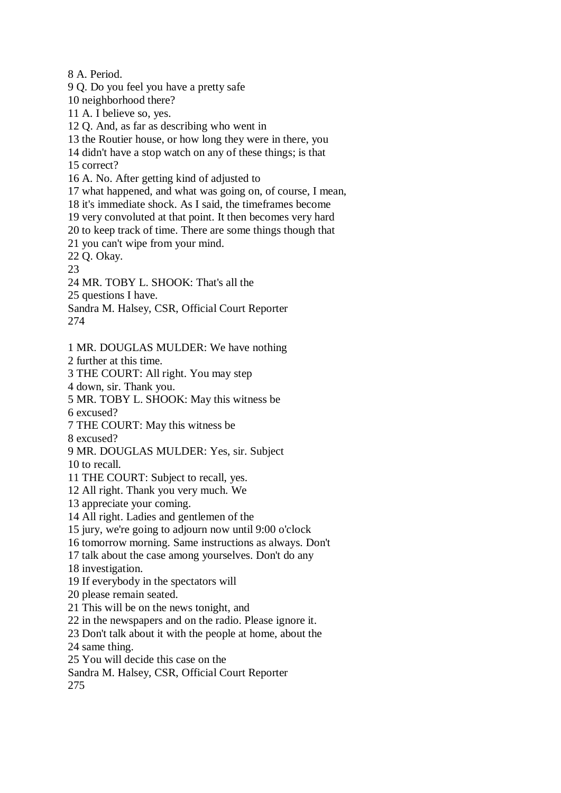8 A. Period.

9 Q. Do you feel you have a pretty safe

10 neighborhood there?

11 A. I believe so, yes.

12 Q. And, as far as describing who went in

13 the Routier house, or how long they were in there, you

14 didn't have a stop watch on any of these things; is that

15 correct?

16 A. No. After getting kind of adjusted to

17 what happened, and what was going on, of course, I mean,

18 it's immediate shock. As I said, the timeframes become

19 very convoluted at that point. It then becomes very hard

20 to keep track of time. There are some things though that

21 you can't wipe from your mind.

22 Q. Okay.

23

24 MR. TOBY L. SHOOK: That's all the

25 questions I have.

Sandra M. Halsey, CSR, Official Court Reporter 274

1 MR. DOUGLAS MULDER: We have nothing

2 further at this time.

3 THE COURT: All right. You may step

4 down, sir. Thank you.

5 MR. TOBY L. SHOOK: May this witness be

6 excused?

7 THE COURT: May this witness be

8 excused?

9 MR. DOUGLAS MULDER: Yes, sir. Subject

10 to recall.

11 THE COURT: Subject to recall, yes.

12 All right. Thank you very much. We

13 appreciate your coming.

14 All right. Ladies and gentlemen of the

15 jury, we're going to adjourn now until 9:00 o'clock

16 tomorrow morning. Same instructions as always. Don't

17 talk about the case among yourselves. Don't do any

18 investigation.

19 If everybody in the spectators will

20 please remain seated.

21 This will be on the news tonight, and

22 in the newspapers and on the radio. Please ignore it.

23 Don't talk about it with the people at home, about the

24 same thing.

25 You will decide this case on the

Sandra M. Halsey, CSR, Official Court Reporter

275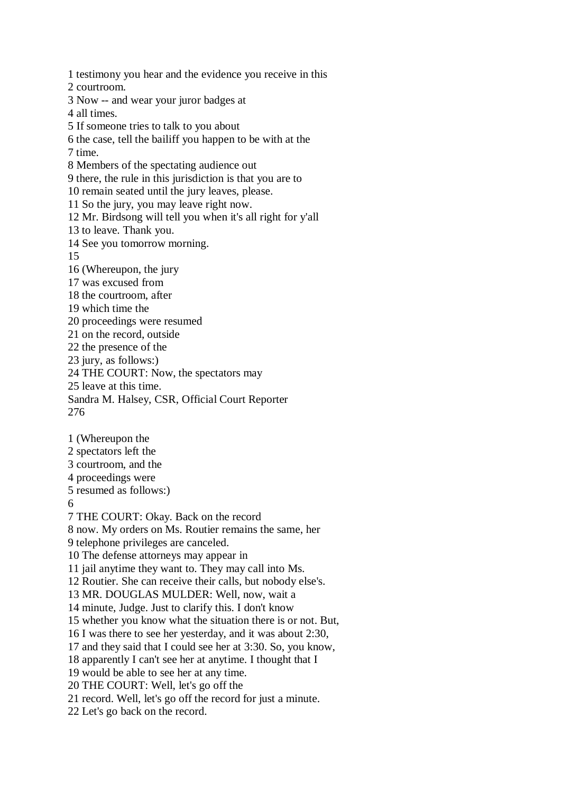1 testimony you hear and the evidence you receive in this 2 courtroom. 3 Now -- and wear your juror badges at 4 all times. 5 If someone tries to talk to you about 6 the case, tell the bailiff you happen to be with at the 7 time. 8 Members of the spectating audience out 9 there, the rule in this jurisdiction is that you are to 10 remain seated until the jury leaves, please. 11 So the jury, you may leave right now. 12 Mr. Birdsong will tell you when it's all right for y'all 13 to leave. Thank you. 14 See you tomorrow morning. 15 16 (Whereupon, the jury 17 was excused from 18 the courtroom, after 19 which time the 20 proceedings were resumed 21 on the record, outside 22 the presence of the 23 jury, as follows:) 24 THE COURT: Now, the spectators may 25 leave at this time. Sandra M. Halsey, CSR, Official Court Reporter 276 1 (Whereupon the 2 spectators left the 3 courtroom, and the 4 proceedings were 5 resumed as follows:) 6 7 THE COURT: Okay. Back on the record 8 now. My orders on Ms. Routier remains the same, her 9 telephone privileges are canceled. 10 The defense attorneys may appear in 11 jail anytime they want to. They may call into Ms. 12 Routier. She can receive their calls, but nobody else's. 13 MR. DOUGLAS MULDER: Well, now, wait a 14 minute, Judge. Just to clarify this. I don't know 15 whether you know what the situation there is or not. But, 16 I was there to see her yesterday, and it was about 2:30, 17 and they said that I could see her at 3:30. So, you know, 18 apparently I can't see her at anytime. I thought that I 19 would be able to see her at any time. 20 THE COURT: Well, let's go off the 21 record. Well, let's go off the record for just a minute. 22 Let's go back on the record.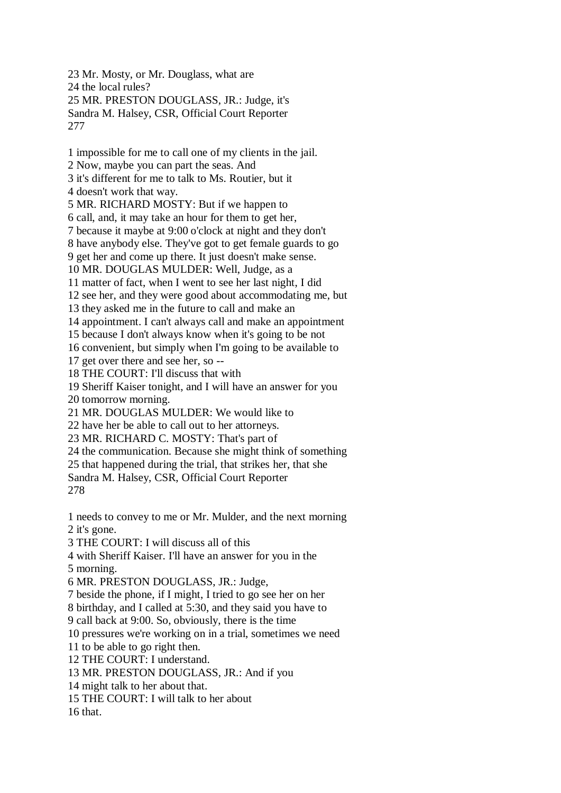23 Mr. Mosty, or Mr. Douglass, what are 24 the local rules? 25 MR. PRESTON DOUGLASS, JR.: Judge, it's Sandra M. Halsey, CSR, Official Court Reporter 277

1 impossible for me to call one of my clients in the jail. 2 Now, maybe you can part the seas. And 3 it's different for me to talk to Ms. Routier, but it 4 doesn't work that way. 5 MR. RICHARD MOSTY: But if we happen to 6 call, and, it may take an hour for them to get her, 7 because it maybe at 9:00 o'clock at night and they don't 8 have anybody else. They've got to get female guards to go 9 get her and come up there. It just doesn't make sense. 10 MR. DOUGLAS MULDER: Well, Judge, as a 11 matter of fact, when I went to see her last night, I did 12 see her, and they were good about accommodating me, but 13 they asked me in the future to call and make an 14 appointment. I can't always call and make an appointment 15 because I don't always know when it's going to be not 16 convenient, but simply when I'm going to be available to 17 get over there and see her, so -- 18 THE COURT: I'll discuss that with 19 Sheriff Kaiser tonight, and I will have an answer for you 20 tomorrow morning. 21 MR. DOUGLAS MULDER: We would like to 22 have her be able to call out to her attorneys. 23 MR. RICHARD C. MOSTY: That's part of 24 the communication. Because she might think of something 25 that happened during the trial, that strikes her, that she Sandra M. Halsey, CSR, Official Court Reporter 278 1 needs to convey to me or Mr. Mulder, and the next morning 2 it's gone. 3 THE COURT: I will discuss all of this 4 with Sheriff Kaiser. I'll have an answer for you in the 5 morning. 6 MR. PRESTON DOUGLASS, JR.: Judge, 7 beside the phone, if I might, I tried to go see her on her 8 birthday, and I called at 5:30, and they said you have to 9 call back at 9:00. So, obviously, there is the time 10 pressures we're working on in a trial, sometimes we need 11 to be able to go right then. 12 THE COURT: I understand. 13 MR. PRESTON DOUGLASS, JR.: And if you 14 might talk to her about that. 15 THE COURT: I will talk to her about 16 that.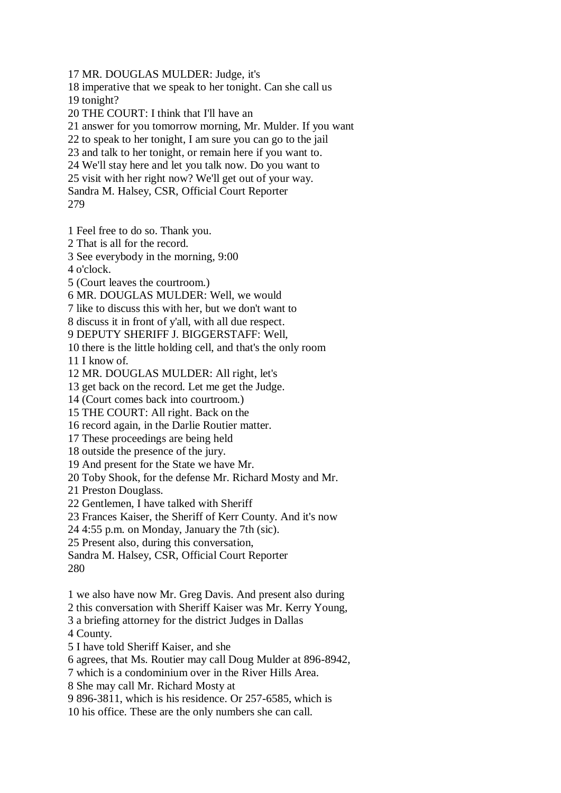17 MR. DOUGLAS MULDER: Judge, it's 18 imperative that we speak to her tonight. Can she call us 19 tonight? 20 THE COURT: I think that I'll have an 21 answer for you tomorrow morning, Mr. Mulder. If you want 22 to speak to her tonight, I am sure you can go to the jail 23 and talk to her tonight, or remain here if you want to. 24 We'll stay here and let you talk now. Do you want to 25 visit with her right now? We'll get out of your way. Sandra M. Halsey, CSR, Official Court Reporter 279 1 Feel free to do so. Thank you. 2 That is all for the record. 3 See everybody in the morning, 9:00 4 o'clock. 5 (Court leaves the courtroom.) 6 MR. DOUGLAS MULDER: Well, we would 7 like to discuss this with her, but we don't want to 8 discuss it in front of y'all, with all due respect. 9 DEPUTY SHERIFF J. BIGGERSTAFF: Well, 10 there is the little holding cell, and that's the only room 11 I know of. 12 MR. DOUGLAS MULDER: All right, let's 13 get back on the record. Let me get the Judge. 14 (Court comes back into courtroom.)

15 THE COURT: All right. Back on the

16 record again, in the Darlie Routier matter.

17 These proceedings are being held

18 outside the presence of the jury.

19 And present for the State we have Mr.

20 Toby Shook, for the defense Mr. Richard Mosty and Mr.

21 Preston Douglass.

22 Gentlemen, I have talked with Sheriff

23 Frances Kaiser, the Sheriff of Kerr County. And it's now

24 4:55 p.m. on Monday, January the 7th (sic).

25 Present also, during this conversation,

Sandra M. Halsey, CSR, Official Court Reporter 280

1 we also have now Mr. Greg Davis. And present also during

2 this conversation with Sheriff Kaiser was Mr. Kerry Young,

3 a briefing attorney for the district Judges in Dallas

4 County.

5 I have told Sheriff Kaiser, and she

6 agrees, that Ms. Routier may call Doug Mulder at 896-8942,

7 which is a condominium over in the River Hills Area.

8 She may call Mr. Richard Mosty at

9 896-3811, which is his residence. Or 257-6585, which is

10 his office. These are the only numbers she can call.